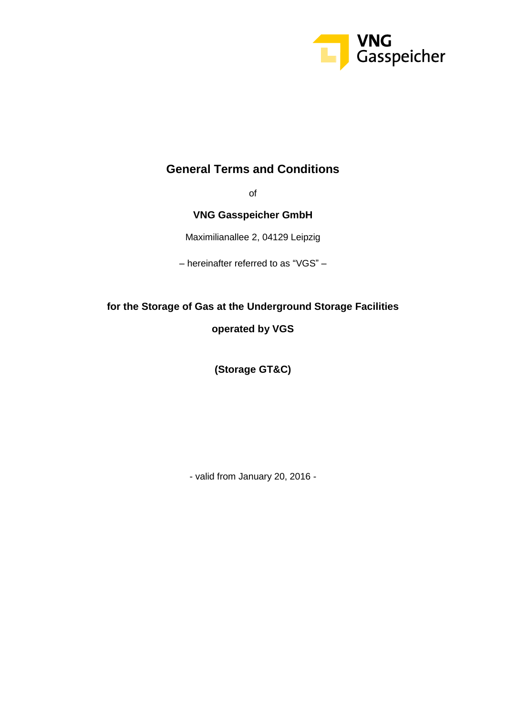

### **General Terms and Conditions**

of

### **VNG Gasspeicher GmbH**

Maximilianallee 2, 04129 Leipzig

– hereinafter referred to as "VGS" –

# **for the Storage of Gas at the Underground Storage Facilities**

### **operated by VGS**

**(Storage GT&C)**

- valid from January 20, 2016 -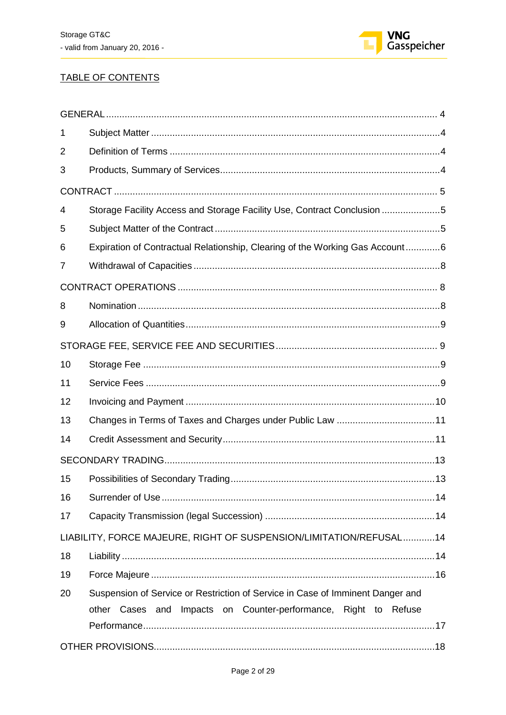

### TABLE OF CONTENTS

| 1  |                                                                                |
|----|--------------------------------------------------------------------------------|
| 2  |                                                                                |
| 3  |                                                                                |
|    |                                                                                |
| 4  | Storage Facility Access and Storage Facility Use, Contract Conclusion 5        |
| 5  |                                                                                |
| 6  | Expiration of Contractual Relationship, Clearing of the Working Gas Account6   |
| 7  |                                                                                |
|    |                                                                                |
| 8  |                                                                                |
| 9  |                                                                                |
|    |                                                                                |
| 10 |                                                                                |
| 11 |                                                                                |
| 12 |                                                                                |
| 13 |                                                                                |
| 14 |                                                                                |
|    |                                                                                |
| 15 |                                                                                |
| 16 |                                                                                |
| 17 |                                                                                |
|    | LIABILITY, FORCE MAJEURE, RIGHT OF SUSPENSION/LIMITATION/REFUSAL14             |
| 18 |                                                                                |
| 19 |                                                                                |
| 20 | Suspension of Service or Restriction of Service in Case of Imminent Danger and |
|    | other Cases and Impacts on Counter-performance, Right to Refuse                |
|    |                                                                                |
|    |                                                                                |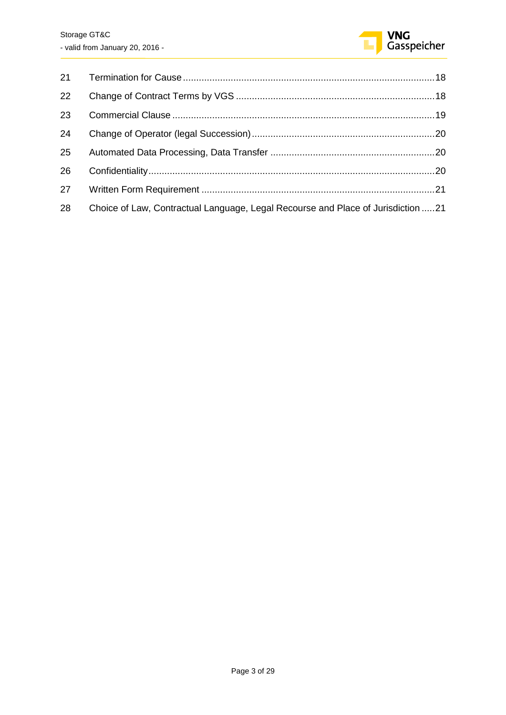

| 21 |                                                                                  |  |
|----|----------------------------------------------------------------------------------|--|
| 22 |                                                                                  |  |
| 23 |                                                                                  |  |
| 24 |                                                                                  |  |
| 25 |                                                                                  |  |
| 26 |                                                                                  |  |
| 27 |                                                                                  |  |
| 28 | Choice of Law, Contractual Language, Legal Recourse and Place of Jurisdiction 21 |  |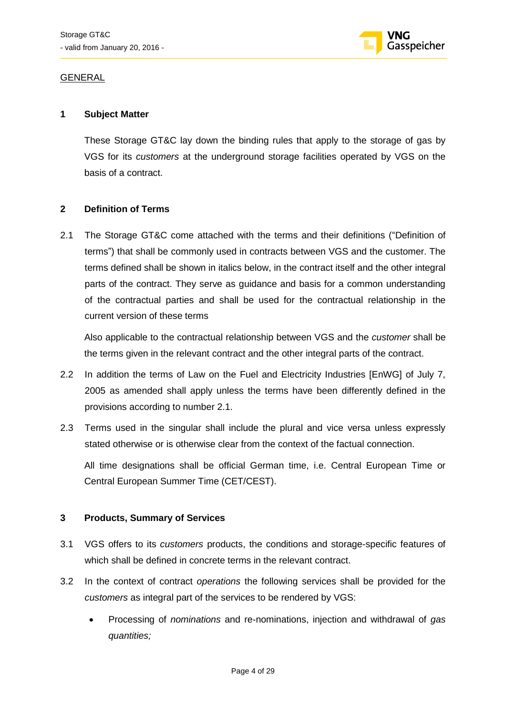

### <span id="page-3-0"></span>GENERAL

### <span id="page-3-1"></span>**1 Subject Matter**

These Storage GT&C lay down the binding rules that apply to the storage of gas by VGS for its *customers* at the underground storage facilities operated by VGS on the basis of a contract.

### <span id="page-3-2"></span>**2 Definition of Terms**

2.1 The Storage GT&C come attached with the terms and their definitions ("Definition of terms") that shall be commonly used in contracts between VGS and the customer. The terms defined shall be shown in italics below, in the contract itself and the other integral parts of the contract. They serve as guidance and basis for a common understanding of the contractual parties and shall be used for the contractual relationship in the current version of these terms

Also applicable to the contractual relationship between VGS and the *customer* shall be the terms given in the relevant contract and the other integral parts of the contract.

- 2.2 In addition the terms of Law on the Fuel and Electricity Industries [EnWG] of July 7, 2005 as amended shall apply unless the terms have been differently defined in the provisions according to number 2.1.
- 2.3 Terms used in the singular shall include the plural and vice versa unless expressly stated otherwise or is otherwise clear from the context of the factual connection.

All time designations shall be official German time, i.e. Central European Time or Central European Summer Time (CET/CEST).

### <span id="page-3-3"></span>**3 Products, Summary of Services**

- 3.1 VGS offers to its *customers* products, the conditions and storage-specific features of which shall be defined in concrete terms in the relevant contract.
- 3.2 In the context of contract *operations* the following services shall be provided for the *customers* as integral part of the services to be rendered by VGS:
	- Processing of *nominations* and re-nominations, injection and withdrawal of *gas quantities;*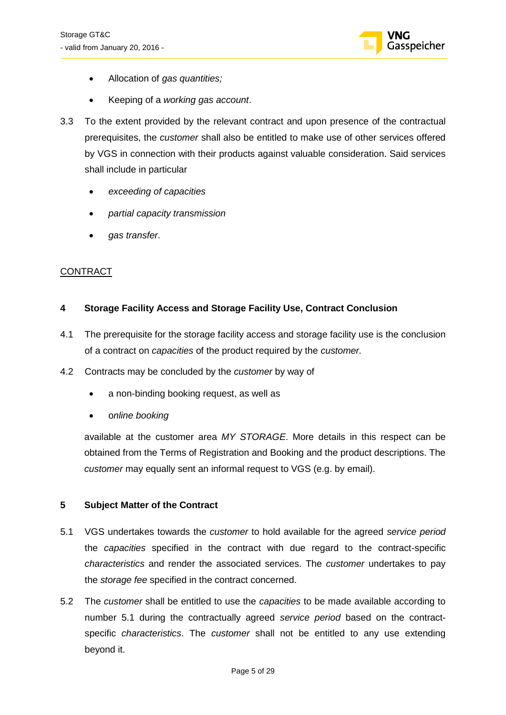

- Allocation of *gas quantities;*
- Keeping of a *working gas account*.
- 3.3 To the extent provided by the relevant contract and upon presence of the contractual prerequisites, the *customer* shall also be entitled to make use of other services offered by VGS in connection with their products against valuable consideration. Said services shall include in particular
	- *exceeding of capacities*
	- *partial capacity transmission*
	- *gas transfer*.

### <span id="page-4-0"></span>CONTRACT

### <span id="page-4-1"></span>**4 Storage Facility Access and Storage Facility Use, Contract Conclusion**

- 4.1 The prerequisite for the storage facility access and storage facility use is the conclusion of a contract on *capacities* of the product required by the *customer.*
- 4.2 Contracts may be concluded by the *customer* by way of
	- a non-binding booking request, as well as
	- o*nline booking*

available at the customer area *MY STORAGE*. More details in this respect can be obtained from the Terms of Registration and Booking and the product descriptions. The *customer* may equally sent an informal request to VGS (e.g. by email).

### <span id="page-4-2"></span>**5 Subject Matter of the Contract**

- 5.1 VGS undertakes towards the *customer* to hold available for the agreed *service period*  the *capacities* specified in the contract with due regard to the contract-specific *characteristics* and render the associated services. The *customer* undertakes to pay the *storage fee* specified in the contract concerned.
- 5.2 The *customer* shall be entitled to use the *capacities* to be made available according to number 5.1 during the contractually agreed *service period* based on the contractspecific *characteristics*. The *customer* shall not be entitled to any use extending beyond it.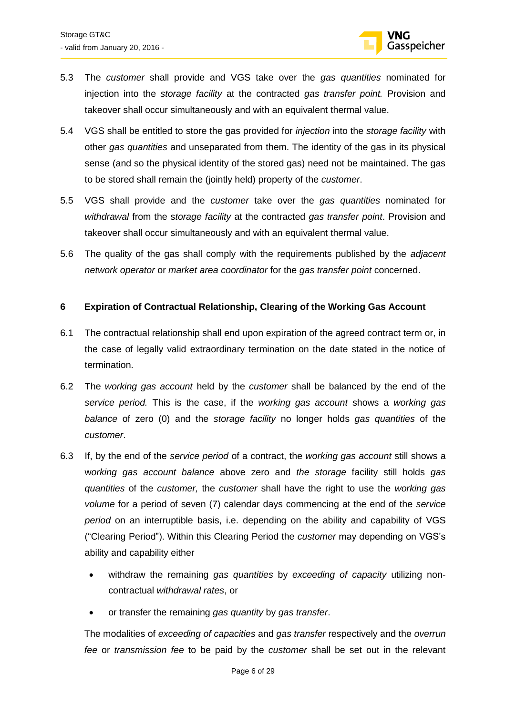

- 5.3 The *customer* shall provide and VGS take over the *gas quantities* nominated for injection into the *storage facility* at the contracted *gas transfer point.* Provision and takeover shall occur simultaneously and with an equivalent thermal value.
- 5.4 VGS shall be entitled to store the gas provided for *injection* into the *storage facility* with other *gas quantities* and unseparated from them. The identity of the gas in its physical sense (and so the physical identity of the stored gas) need not be maintained. The gas to be stored shall remain the (jointly held) property of the *customer*.
- 5.5 VGS shall provide and the *customer* take over the *gas quantities* nominated for *withdrawal* from the s*torage facility* at the contracted *gas transfer point*. Provision and takeover shall occur simultaneously and with an equivalent thermal value.
- 5.6 The quality of the gas shall comply with the requirements published by the *adjacent network operator* or *market area coordinator* for the *gas transfer point* concerned.

### <span id="page-5-0"></span>**6 Expiration of Contractual Relationship, Clearing of the Working Gas Account**

- 6.1 The contractual relationship shall end upon expiration of the agreed contract term or, in the case of legally valid extraordinary termination on the date stated in the notice of termination.
- 6.2 The *working gas account* held by the *customer* shall be balanced by the end of the *service period.* This is the case, if the *working gas account* shows a *working gas balance* of zero (0) and the *storage facility* no longer holds *gas quantities* of the *customer*.
- 6.3 If, by the end of the *service period* of a contract, the *working gas account* still shows a w*orking gas account balance* above zero and *the storage* facility still holds *gas quantities* of the *customer,* the *customer* shall have the right to use the *working gas volume* for a period of seven (7) calendar days commencing at the end of the *service period* on an interruptible basis, i.e. depending on the ability and capability of VGS ("Clearing Period"). Within this Clearing Period the *customer* may depending on VGS's ability and capability either
	- withdraw the remaining *gas quantities* by *exceeding of capacity* utilizing noncontractual *withdrawal rates*, or
	- or transfer the remaining *gas quantity* by *gas transfer*.

The modalities of *exceeding of capacities* and *gas transfer* respectively and the *overrun fee* or *transmission fee* to be paid by the *customer* shall be set out in the relevant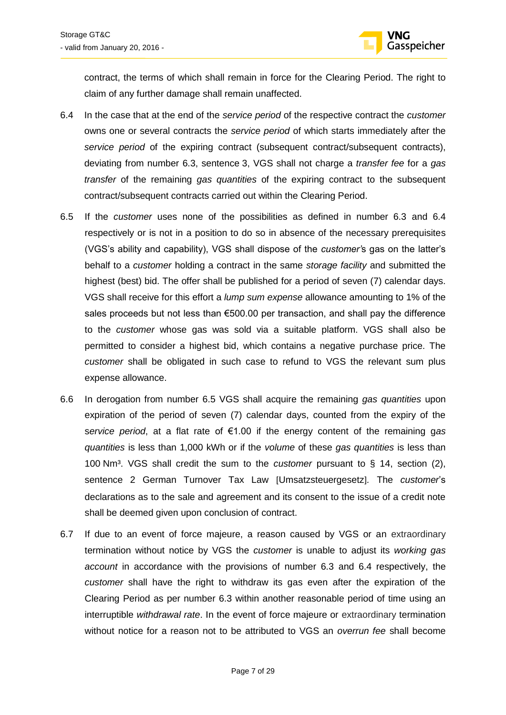

contract, the terms of which shall remain in force for the Clearing Period. The right to claim of any further damage shall remain unaffected.

- 6.4 In the case that at the end of the *service period* of the respective contract the *customer* owns one or several contracts the *service period* of which starts immediately after the *service period* of the expiring contract (subsequent contract/subsequent contracts), deviating from number 6.3, sentence 3, VGS shall not charge a *transfer fee* for a *gas transfer* of the remaining *gas quantities* of the expiring contract to the subsequent contract/subsequent contracts carried out within the Clearing Period.
- 6.5 If the *customer* uses none of the possibilities as defined in number 6.3 and 6.4 respectively or is not in a position to do so in absence of the necessary prerequisites (VGS's ability and capability), VGS shall dispose of the *customer'*s gas on the latter's behalf to a *customer* holding a contract in the same *storage facility* and submitted the highest (best) bid. The offer shall be published for a period of seven (7) calendar days. VGS shall receive for this effort a *lump sum expense* allowance amounting to 1% of the sales proceeds but not less than €500.00 per transaction, and shall pay the difference to the *customer* whose gas was sold via a suitable platform. VGS shall also be permitted to consider a highest bid, which contains a negative purchase price. The *customer* shall be obligated in such case to refund to VGS the relevant sum plus expense allowance.
- 6.6 In derogation from number 6.5 VGS shall acquire the remaining *gas quantities* upon expiration of the period of seven (7) calendar days, counted from the expiry of the s*ervice period*, at a flat rate of €1.00 if the energy content of the remaining g*as quantities* is less than 1,000 kWh or if the *volume* of these *gas quantities* is less than 100 Nm³. VGS shall credit the sum to the *customer* pursuant to § 14, section (2), sentence 2 German Turnover Tax Law [Umsatzsteuergesetz]*.* The *customer*'s declarations as to the sale and agreement and its consent to the issue of a credit note shall be deemed given upon conclusion of contract.
- 6.7 If due to an event of force majeure, a reason caused by VGS or an extraordinary termination without notice by VGS the *customer* is unable to adjust its *working gas account* in accordance with the provisions of number 6.3 and 6.4 respectively, the *customer* shall have the right to withdraw its gas even after the expiration of the Clearing Period as per number 6.3 within another reasonable period of time using an interruptible *withdrawal rate*. In the event of force majeure or extraordinary termination without notice for a reason not to be attributed to VGS an *overrun fee* shall become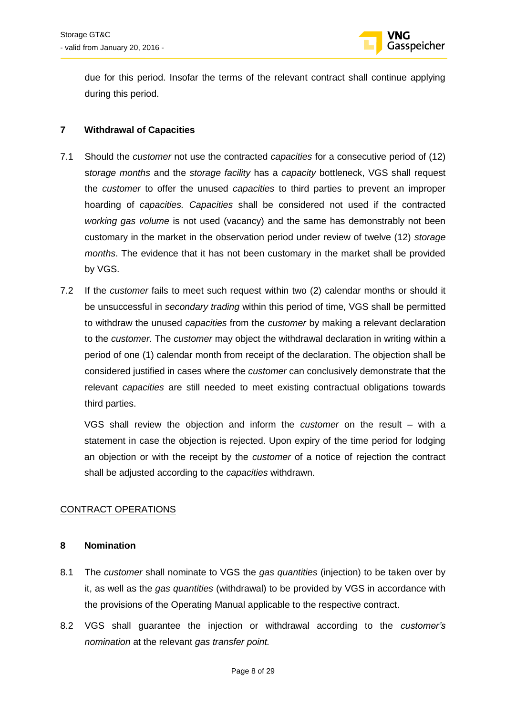

due for this period. Insofar the terms of the relevant contract shall continue applying during this period.

### <span id="page-7-0"></span>**7 Withdrawal of Capacities**

- 7.1 Should the *customer* not use the contracted *capacities* for a consecutive period of (12) s*torage months* and the *storage facility* has a *capacity* bottleneck, VGS shall request the *customer* to offer the unused *capacities* to third parties to prevent an improper hoarding of *capacities. Capacities* shall be considered not used if the contracted *working gas volume* is not used (vacancy) and the same has demonstrably not been customary in the market in the observation period under review of twelve (12) *storage months*. The evidence that it has not been customary in the market shall be provided by VGS.
- 7.2 If the *customer* fails to meet such request within two (2) calendar months or should it be unsuccessful in *secondary trading* within this period of time, VGS shall be permitted to withdraw the unused *capacities* from the *customer* by making a relevant declaration to the *customer*. The *customer* may object the withdrawal declaration in writing within a period of one (1) calendar month from receipt of the declaration. The objection shall be considered justified in cases where the *customer* can conclusively demonstrate that the relevant *capacities* are still needed to meet existing contractual obligations towards third parties.

VGS shall review the objection and inform the *customer* on the result – with a statement in case the objection is rejected. Upon expiry of the time period for lodging an objection or with the receipt by the *customer* of a notice of rejection the contract shall be adjusted according to the *capacities* withdrawn.

### <span id="page-7-1"></span>CONTRACT OPERATIONS

### <span id="page-7-2"></span>**8 Nomination**

- 8.1 The *customer* shall nominate to VGS the *gas quantities* (injection) to be taken over by it, as well as the *gas quantities* (withdrawal) to be provided by VGS in accordance with the provisions of the Operating Manual applicable to the respective contract.
- 8.2 VGS shall guarantee the injection or withdrawal according to the *customer's nomination* at the relevant *gas transfer point.*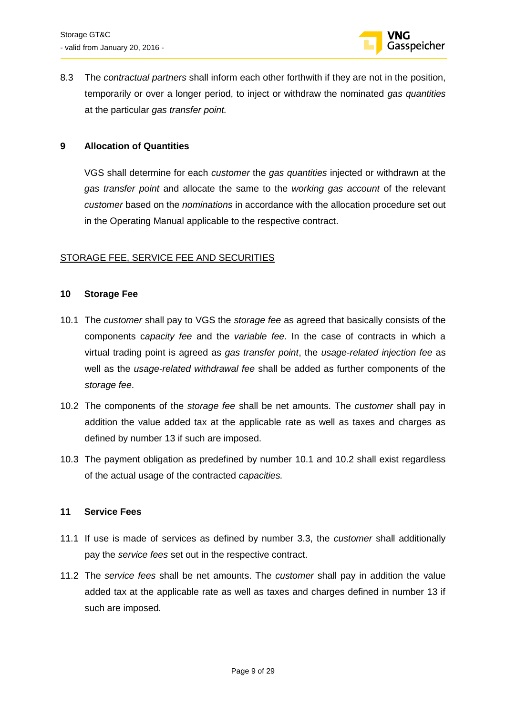

8.3 The *contractual partners* shall inform each other forthwith if they are not in the position, temporarily or over a longer period, to inject or withdraw the nominated *gas quantities* at the particular *gas transfer point.*

### <span id="page-8-0"></span>**9 Allocation of Quantities**

VGS shall determine for each *customer* the *gas quantities* injected or withdrawn at the *gas transfer point* and allocate the same to the *working gas account* of the relevant *customer* based on the *nominations* in accordance with the allocation procedure set out in the Operating Manual applicable to the respective contract.

### <span id="page-8-1"></span>STORAGE FEE, SERVICE FEE AND SECURITIES

#### <span id="page-8-2"></span>**10 Storage Fee**

- 10.1 The *customer* shall pay to VGS the *storage fee* as agreed that basically consists of the components c*apacity fee* and the *variable fee*. In the case of contracts in which a virtual trading point is agreed as *gas transfer point*, the *usage-related injection fee* as well as the *usage-related withdrawal fee* shall be added as further components of the *storage fee*.
- 10.2 The components of the *storage fee* shall be net amounts. The *customer* shall pay in addition the value added tax at the applicable rate as well as taxes and charges as defined by number 13 if such are imposed.
- 10.3 The payment obligation as predefined by number 10.1 and 10.2 shall exist regardless of the actual usage of the contracted *capacities.*

### <span id="page-8-3"></span>**11 Service Fees**

- 11.1 If use is made of services as defined by number 3.3, the *customer* shall additionally pay the *service fees* set out in the respective contract.
- 11.2 The *service fees* shall be net amounts. The *customer* shall pay in addition the value added tax at the applicable rate as well as taxes and charges defined in number 13 if such are imposed.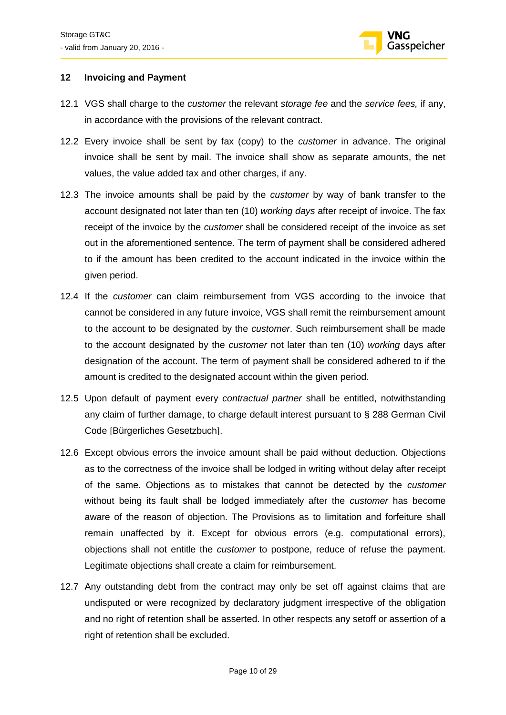

### <span id="page-9-0"></span>**12 Invoicing and Payment**

- 12.1 VGS shall charge to the *customer* the relevant *storage fee* and the *service fees,* if any, in accordance with the provisions of the relevant contract.
- 12.2 Every invoice shall be sent by fax (copy) to the *customer* in advance. The original invoice shall be sent by mail. The invoice shall show as separate amounts, the net values, the value added tax and other charges, if any.
- 12.3 The invoice amounts shall be paid by the *customer* by way of bank transfer to the account designated not later than ten (10) *working days* after receipt of invoice. The fax receipt of the invoice by the *customer* shall be considered receipt of the invoice as set out in the aforementioned sentence. The term of payment shall be considered adhered to if the amount has been credited to the account indicated in the invoice within the given period.
- 12.4 If the *customer* can claim reimbursement from VGS according to the invoice that cannot be considered in any future invoice, VGS shall remit the reimbursement amount to the account to be designated by the *customer*. Such reimbursement shall be made to the account designated by the *customer* not later than ten (10) *working* days after designation of the account. The term of payment shall be considered adhered to if the amount is credited to the designated account within the given period.
- 12.5 Upon default of payment every *contractual partner* shall be entitled, notwithstanding any claim of further damage, to charge default interest pursuant to § 288 German Civil Code [Bürgerliches Gesetzbuch].
- 12.6 Except obvious errors the invoice amount shall be paid without deduction. Objections as to the correctness of the invoice shall be lodged in writing without delay after receipt of the same. Objections as to mistakes that cannot be detected by the *customer*  without being its fault shall be lodged immediately after the *customer* has become aware of the reason of objection. The Provisions as to limitation and forfeiture shall remain unaffected by it. Except for obvious errors (e.g. computational errors), objections shall not entitle the *customer* to postpone, reduce of refuse the payment. Legitimate objections shall create a claim for reimbursement.
- 12.7 Any outstanding debt from the contract may only be set off against claims that are undisputed or were recognized by declaratory judgment irrespective of the obligation and no right of retention shall be asserted. In other respects any setoff or assertion of a right of retention shall be excluded.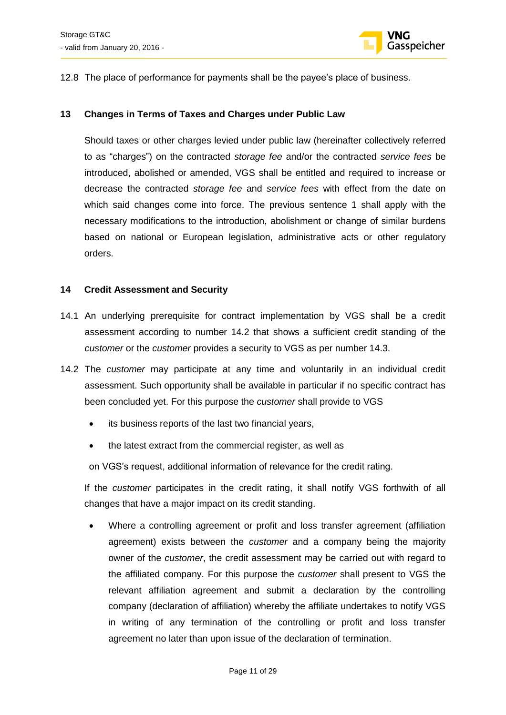

12.8 The place of performance for payments shall be the payee's place of business.

### <span id="page-10-0"></span>**13 Changes in Terms of Taxes and Charges under Public Law**

Should taxes or other charges levied under public law (hereinafter collectively referred to as "charges") on the contracted *storage fee* and/or the contracted *service fees* be introduced, abolished or amended, VGS shall be entitled and required to increase or decrease the contracted *storage fee* and *service fees* with effect from the date on which said changes come into force. The previous sentence 1 shall apply with the necessary modifications to the introduction, abolishment or change of similar burdens based on national or European legislation, administrative acts or other regulatory orders.

### <span id="page-10-1"></span>**14 Credit Assessment and Security**

- 14.1 An underlying prerequisite for contract implementation by VGS shall be a credit assessment according to number 14.2 that shows a sufficient credit standing of the *customer* or the *customer* provides a security to VGS as per number 14.3.
- 14.2 The *customer* may participate at any time and voluntarily in an individual credit assessment. Such opportunity shall be available in particular if no specific contract has been concluded yet. For this purpose the *customer* shall provide to VGS
	- its business reports of the last two financial years,
	- the latest extract from the commercial register, as well as

on VGS's request, additional information of relevance for the credit rating.

If the *customer* participates in the credit rating, it shall notify VGS forthwith of all changes that have a major impact on its credit standing.

 Where a controlling agreement or profit and loss transfer agreement (affiliation agreement) exists between the *customer* and a company being the majority owner of the *customer*, the credit assessment may be carried out with regard to the affiliated company. For this purpose the *customer* shall present to VGS the relevant affiliation agreement and submit a declaration by the controlling company (declaration of affiliation) whereby the affiliate undertakes to notify VGS in writing of any termination of the controlling or profit and loss transfer agreement no later than upon issue of the declaration of termination.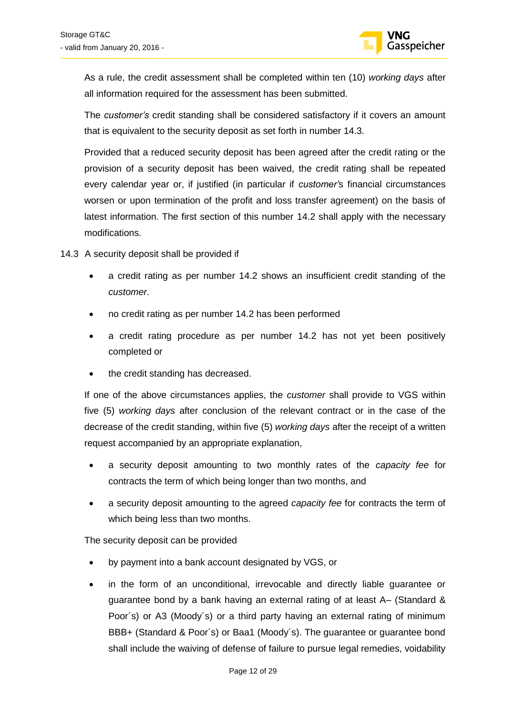

As a rule, the credit assessment shall be completed within ten (10) *working days* after all information required for the assessment has been submitted.

The *customer's* credit standing shall be considered satisfactory if it covers an amount that is equivalent to the security deposit as set forth in number 14.3.

Provided that a reduced security deposit has been agreed after the credit rating or the provision of a security deposit has been waived, the credit rating shall be repeated every calendar year or, if justified (in particular if *customer'*s financial circumstances worsen or upon termination of the profit and loss transfer agreement) on the basis of latest information. The first section of this number 14.2 shall apply with the necessary modifications.

- 14.3 A security deposit shall be provided if
	- a credit rating as per number 14.2 shows an insufficient credit standing of the *customer*.
	- no credit rating as per number 14.2 has been performed
	- a credit rating procedure as per number 14.2 has not yet been positively completed or
	- the credit standing has decreased.

If one of the above circumstances applies, the *customer* shall provide to VGS within five (5) *working days* after conclusion of the relevant contract or in the case of the decrease of the credit standing, within five (5) *working days* after the receipt of a written request accompanied by an appropriate explanation,

- a security deposit amounting to two monthly rates of the *capacity fee* for contracts the term of which being longer than two months, and
- a security deposit amounting to the agreed *capacity fee* for contracts the term of which being less than two months.

The security deposit can be provided

- by payment into a bank account designated by VGS, or
- in the form of an unconditional, irrevocable and directly liable guarantee or guarantee bond by a bank having an external rating of at least A– (Standard & Poor´s) or A3 (Moody´s) or a third party having an external rating of minimum BBB+ (Standard & Poor´s) or Baa1 (Moody´s). The guarantee or guarantee bond shall include the waiving of defense of failure to pursue legal remedies, voidability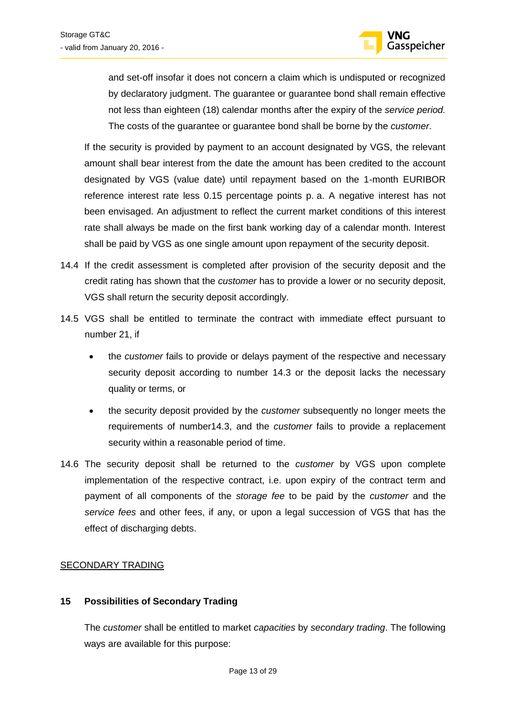

and set-off insofar it does not concern a claim which is undisputed or recognized by declaratory judgment. The guarantee or guarantee bond shall remain effective not less than eighteen (18) calendar months after the expiry of the *service period.*  The costs of the guarantee or guarantee bond shall be borne by the *customer*.

If the security is provided by payment to an account designated by VGS, the relevant amount shall bear interest from the date the amount has been credited to the account designated by VGS (value date) until repayment based on the 1-month EURIBOR reference interest rate less 0.15 percentage points p. a. A negative interest has not been envisaged. An adjustment to reflect the current market conditions of this interest rate shall always be made on the first bank working day of a calendar month. Interest shall be paid by VGS as one single amount upon repayment of the security deposit.

- 14.4 If the credit assessment is completed after provision of the security deposit and the credit rating has shown that the *customer* has to provide a lower or no security deposit, VGS shall return the security deposit accordingly.
- 14.5 VGS shall be entitled to terminate the contract with immediate effect pursuant to number 21, if
	- the *customer* fails to provide or delays payment of the respective and necessary security deposit according to number 14.3 or the deposit lacks the necessary quality or terms, or
	- the security deposit provided by the *customer* subsequently no longer meets the requirements of number14.3, and the *customer* fails to provide a replacement security within a reasonable period of time.
- 14.6 The security deposit shall be returned to the *customer* by VGS upon complete implementation of the respective contract, i.e. upon expiry of the contract term and payment of all components of the *storage fee* to be paid by the *customer* and the *service fees* and other fees, if any, or upon a legal succession of VGS that has the effect of discharging debts.

### <span id="page-12-0"></span>SECONDARY TRADING

### <span id="page-12-1"></span>**15 Possibilities of Secondary Trading**

The *customer* shall be entitled to market *capacities* by *secondary trading*. The following ways are available for this purpose: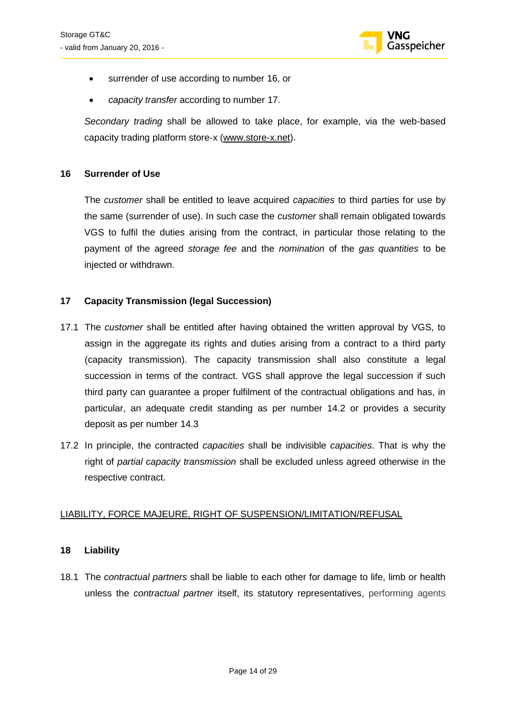

- surrender of use according to number 16, or
- *capacity transfer* according to number 17.

*Secondary trading* shall be allowed to take place, for example, via the web-based capacity trading platform store-x [\(www.store-x.net\)](http://www.store-x.net/).

### <span id="page-13-0"></span>**16 Surrender of Use**

The *customer* shall be entitled to leave acquired *capacities* to third parties for use by the same (surrender of use). In such case the *customer* shall remain obligated towards VGS to fulfil the duties arising from the contract, in particular those relating to the payment of the agreed *storage fee* and the *nomination* of the *gas quantities* to be injected or withdrawn.

### <span id="page-13-1"></span>**17 Capacity Transmission (legal Succession)**

- 17.1 The *customer* shall be entitled after having obtained the written approval by VGS, to assign in the aggregate its rights and duties arising from a contract to a third party (capacity transmission). The capacity transmission shall also constitute a legal succession in terms of the contract. VGS shall approve the legal succession if such third party can guarantee a proper fulfilment of the contractual obligations and has, in particular, an adequate credit standing as per number 14.2 or provides a security deposit as per number 14.3
- 17.2 In principle, the contracted *capacities* shall be indivisible *capacities*. That is why the right of *partial capacity transmission* shall be excluded unless agreed otherwise in the respective contract.

### <span id="page-13-2"></span>LIABILITY, FORCE MAJEURE, RIGHT OF SUSPENSION/LIMITATION/REFUSAL

#### <span id="page-13-3"></span>**18 Liability**

18.1 The *contractual partners* shall be liable to each other for damage to life, limb or health unless the *contractual partner* itself, its statutory representatives, performing agents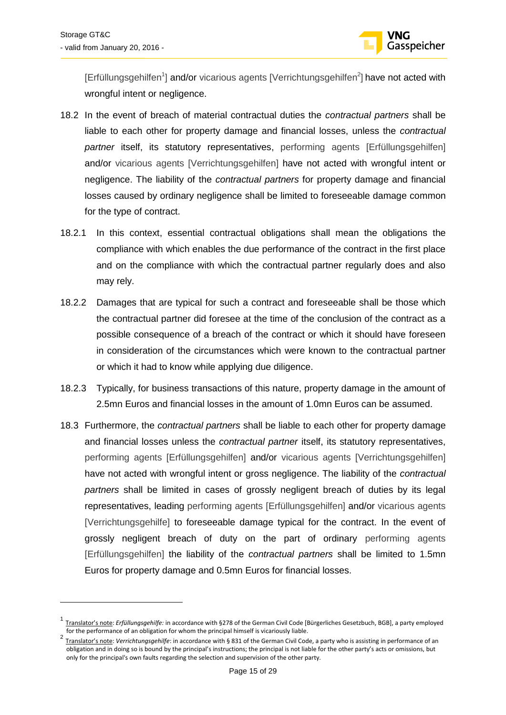

[Erfüllungsgehilfen<sup>1</sup>] and/or vicarious agents [Verrichtungsgehilfen<sup>2</sup>] have not acted with wrongful intent or negligence.

- 18.2 In the event of breach of material contractual duties the *contractual partners* shall be liable to each other for property damage and financial losses, unless the *contractual partner* itself, its statutory representatives, performing agents [Erfüllungsgehilfen] and/or vicarious agents [Verrichtungsgehilfen] have not acted with wrongful intent or negligence. The liability of the *contractual partners* for property damage and financial losses caused by ordinary negligence shall be limited to foreseeable damage common for the type of contract.
- 18.2.1 In this context, essential contractual obligations shall mean the obligations the compliance with which enables the due performance of the contract in the first place and on the compliance with which the contractual partner regularly does and also may rely.
- 18.2.2 Damages that are typical for such a contract and foreseeable shall be those which the contractual partner did foresee at the time of the conclusion of the contract as a possible consequence of a breach of the contract or which it should have foreseen in consideration of the circumstances which were known to the contractual partner or which it had to know while applying due diligence.
- 18.2.3 Typically, for business transactions of this nature, property damage in the amount of 2.5mn Euros and financial losses in the amount of 1.0mn Euros can be assumed.
- 18.3 Furthermore, the *contractual partners* shall be liable to each other for property damage and financial losses unless the *contractual partner* itself, its statutory representatives, performing agents [Erfüllungsgehilfen] and/or vicarious agents [Verrichtungsgehilfen] have not acted with wrongful intent or gross negligence. The liability of the *contractual partners* shall be limited in cases of grossly negligent breach of duties by its legal representatives, leading performing agents [Erfüllungsgehilfen] and/or vicarious agents [Verrichtungsgehilfe] to foreseeable damage typical for the contract. In the event of grossly negligent breach of duty on the part of ordinary performing agents [Erfüllungsgehilfen] the liability of the *contractual partners* shall be limited to 1.5mn Euros for property damage and 0.5mn Euros for financial losses.

<sup>1</sup> Translator's note: *Erfüllungsgehilfe:* in accordance with §278 of the German Civil Code [Bürgerliches Gesetzbuch, BGB], a party employed for the performance of an obligation for whom the principal himself is vicariously liable.

<sup>2</sup> Translator's note: *Verrichtungsgehilfe*: in accordance with § 831 of the German Civil Code, a party who is assisting in performance of an obligation and in doing so is bound by the principal's instructions; the principal is not liable for the other party's acts or omissions, but only for the principal's own faults regarding the selection and supervision of the other party.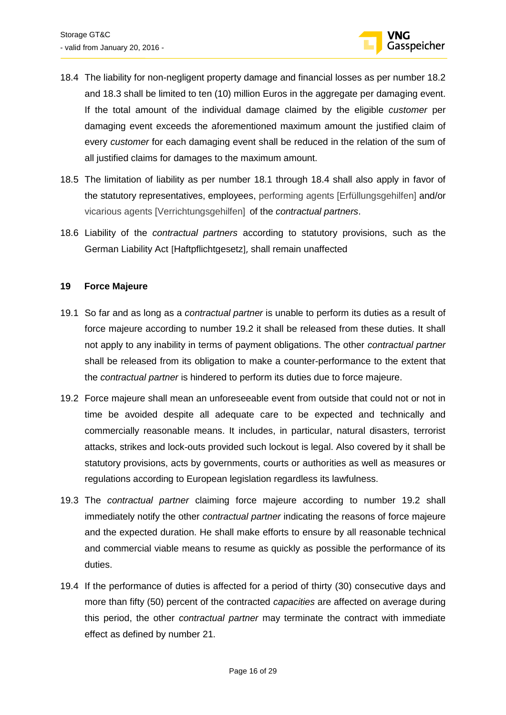

- 18.4 The liability for non-negligent property damage and financial losses as per number 18.2 and 18.3 shall be limited to ten (10) million Euros in the aggregate per damaging event. If the total amount of the individual damage claimed by the eligible *customer* per damaging event exceeds the aforementioned maximum amount the justified claim of every *customer* for each damaging event shall be reduced in the relation of the sum of all justified claims for damages to the maximum amount.
- 18.5 The limitation of liability as per number 18.1 through 18.4 shall also apply in favor of the statutory representatives, employees, performing agents [Erfüllungsgehilfen] and/or vicarious agents [Verrichtungsgehilfen] of the *contractual partners*.
- 18.6 Liability of the *contractual partners* according to statutory provisions, such as the German Liability Act [Haftpflichtgesetz], shall remain unaffected

### <span id="page-15-0"></span>**19 Force Majeure**

- 19.1 So far and as long as a *contractual partner* is unable to perform its duties as a result of force majeure according to number 19.2 it shall be released from these duties. It shall not apply to any inability in terms of payment obligations. The other *contractual partner*  shall be released from its obligation to make a counter-performance to the extent that the *contractual partner* is hindered to perform its duties due to force majeure.
- 19.2 Force majeure shall mean an unforeseeable event from outside that could not or not in time be avoided despite all adequate care to be expected and technically and commercially reasonable means. It includes, in particular, natural disasters, terrorist attacks, strikes and lock-outs provided such lockout is legal. Also covered by it shall be statutory provisions, acts by governments, courts or authorities as well as measures or regulations according to European legislation regardless its lawfulness.
- 19.3 The *contractual partner* claiming force majeure according to number 19.2 shall immediately notify the other *contractual partner* indicating the reasons of force majeure and the expected duration. He shall make efforts to ensure by all reasonable technical and commercial viable means to resume as quickly as possible the performance of its duties.
- 19.4 If the performance of duties is affected for a period of thirty (30) consecutive days and more than fifty (50) percent of the contracted *capacities* are affected on average during this period, the other *contractual partner* may terminate the contract with immediate effect as defined by number 21.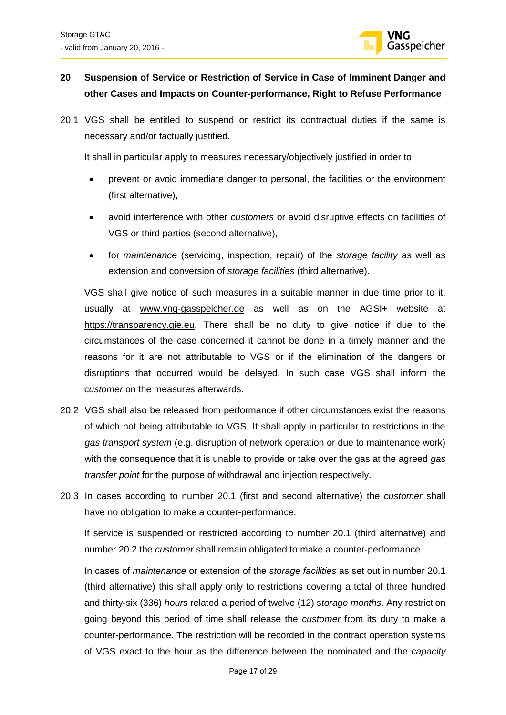

### <span id="page-16-0"></span>**20 Suspension of Service or Restriction of Service in Case of Imminent Danger and other Cases and Impacts on Counter-performance, Right to Refuse Performance**

20.1 VGS shall be entitled to suspend or restrict its contractual duties if the same is necessary and/or factually justified.

It shall in particular apply to measures necessary/objectively justified in order to

- prevent or avoid immediate danger to personal, the facilities or the environment (first alternative),
- avoid interference with other *customers* or avoid disruptive effects on facilities of VGS or third parties (second alternative),
- for *maintenance* (servicing, inspection, repair) of the *storage facility* as well as extension and conversion of *storage facilities* (third alternative).

VGS shall give notice of such measures in a suitable manner in due time prior to it, usually at [www.vng-gasspeicher.de](http://www.vng-gasspeicher.de/) as well as on the AGSI+ website at [https://transparency.gie.eu.](https://transparency.gie.eu/) There shall be no duty to give notice if due to the circumstances of the case concerned it cannot be done in a timely manner and the reasons for it are not attributable to VGS or if the elimination of the dangers or disruptions that occurred would be delayed. In such case VGS shall inform the c*ustomer* on the measures afterwards.

- 20.2 VGS shall also be released from performance if other circumstances exist the reasons of which not being attributable to VGS. It shall apply in particular to restrictions in the *gas transport system* (e.g. disruption of network operation or due to maintenance work) with the consequence that it is unable to provide or take over the gas at the agreed *gas transfer point* for the purpose of withdrawal and injection respectively.
- 20.3 In cases according to number 20.1 (first and second alternative) the *customer* shall have no obligation to make a counter-performance.

If service is suspended or restricted according to number 20.1 (third alternative) and number 20.2 the *customer* shall remain obligated to make a counter-performance.

In cases of *maintenance* or extension of the *storage facilities* as set out in number 20.1 (third alternative) this shall apply only to restrictions covering a total of three hundred and thirty-six (336) *hours* related a period of twelve (12) s*torage months*. Any restriction going beyond this period of time shall release the *customer* from its duty to make a counter-performance. The restriction will be recorded in the contract operation systems of VGS exact to the hour as the difference between the nominated and the *capacity*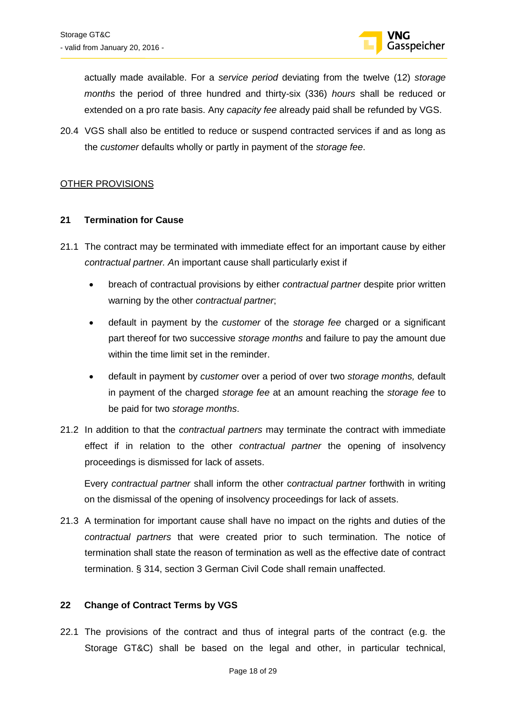

actually made available. For a *service period* deviating from the twelve (12) *storage months* the period of three hundred and thirty-six (336) *hours* shall be reduced or extended on a pro rate basis. Any *capacity fee* already paid shall be refunded by VGS.

20.4 VGS shall also be entitled to reduce or suspend contracted services if and as long as the *customer* defaults wholly or partly in payment of the *storage fee*.

### <span id="page-17-0"></span>OTHER PROVISIONS

### <span id="page-17-1"></span>**21 Termination for Cause**

- 21.1 The contract may be terminated with immediate effect for an important cause by either *contractual partner. A*n important cause shall particularly exist if
	- breach of contractual provisions by either *contractual partner* despite prior written warning by the other *contractual partner*;
	- default in payment by the *customer* of the *storage fee* charged or a significant part thereof for two successive *storage months* and failure to pay the amount due within the time limit set in the reminder.
	- default in payment by *customer* over a period of over two *storage months,* default in payment of the charged *storage fee* at an amount reaching the *storage fee* to be paid for two *storage months*.
- 21.2 In addition to that the *contractual partners* may terminate the contract with immediate effect if in relation to the other *contractual partner* the opening of insolvency proceedings is dismissed for lack of assets.

Every *contractual partner* shall inform the other c*ontractual partner* forthwith in writing on the dismissal of the opening of insolvency proceedings for lack of assets.

21.3 A termination for important cause shall have no impact on the rights and duties of the *contractual partners* that were created prior to such termination. The notice of termination shall state the reason of termination as well as the effective date of contract termination. § 314, section 3 German Civil Code shall remain unaffected.

### <span id="page-17-2"></span>**22 Change of Contract Terms by VGS**

22.1 The provisions of the contract and thus of integral parts of the contract (e.g. the Storage GT&C) shall be based on the legal and other, in particular technical,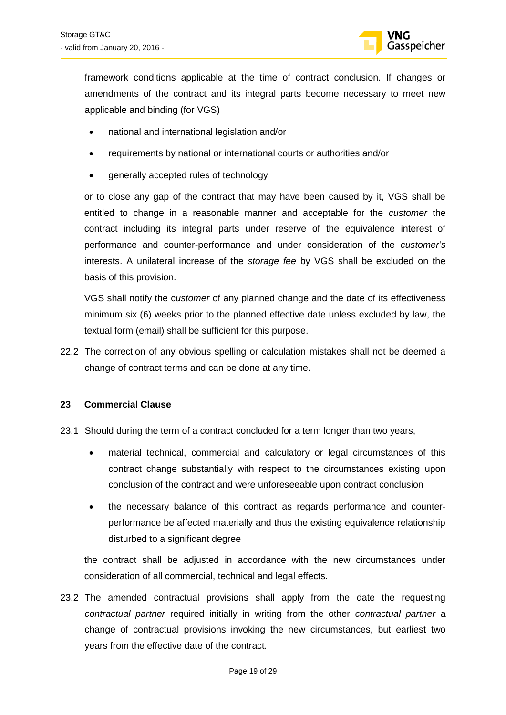

framework conditions applicable at the time of contract conclusion. If changes or amendments of the contract and its integral parts become necessary to meet new applicable and binding (for VGS)

- national and international legislation and/or
- requirements by national or international courts or authorities and/or
- generally accepted rules of technology

or to close any gap of the contract that may have been caused by it, VGS shall be entitled to change in a reasonable manner and acceptable for the *customer* the contract including its integral parts under reserve of the equivalence interest of performance and counter-performance and under consideration of the *customer*'*s* interests. A unilateral increase of the *storage fee* by VGS shall be excluded on the basis of this provision.

VGS shall notify the c*ustomer* of any planned change and the date of its effectiveness minimum six (6) weeks prior to the planned effective date unless excluded by law, the textual form (email) shall be sufficient for this purpose.

22.2 The correction of any obvious spelling or calculation mistakes shall not be deemed a change of contract terms and can be done at any time.

### <span id="page-18-0"></span>**23 Commercial Clause**

- 23.1 Should during the term of a contract concluded for a term longer than two years,
	- material technical, commercial and calculatory or legal circumstances of this contract change substantially with respect to the circumstances existing upon conclusion of the contract and were unforeseeable upon contract conclusion
	- the necessary balance of this contract as regards performance and counterperformance be affected materially and thus the existing equivalence relationship disturbed to a significant degree

the contract shall be adjusted in accordance with the new circumstances under consideration of all commercial, technical and legal effects.

23.2 The amended contractual provisions shall apply from the date the requesting *contractual partner* required initially in writing from the other *contractual partner* a change of contractual provisions invoking the new circumstances, but earliest two years from the effective date of the contract.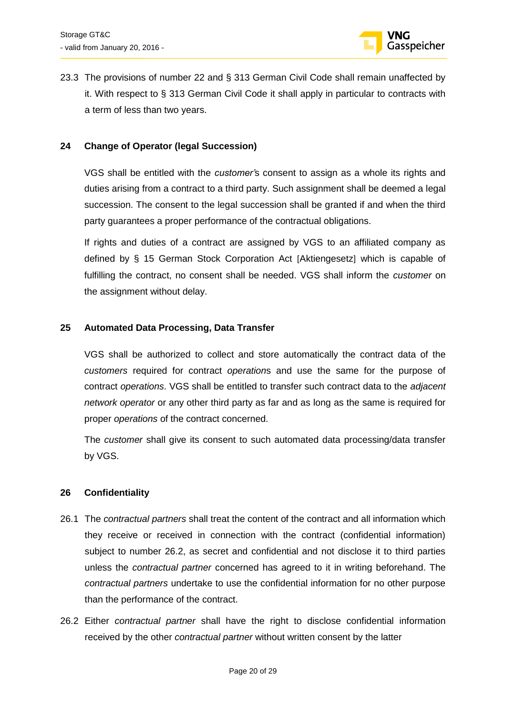

23.3 The provisions of number 22 and § 313 German Civil Code shall remain unaffected by it. With respect to § 313 German Civil Code it shall apply in particular to contracts with a term of less than two years.

### <span id="page-19-0"></span>**24 Change of Operator (legal Succession)**

VGS shall be entitled with the *customer'*s consent to assign as a whole its rights and duties arising from a contract to a third party. Such assignment shall be deemed a legal succession. The consent to the legal succession shall be granted if and when the third party guarantees a proper performance of the contractual obligations.

If rights and duties of a contract are assigned by VGS to an affiliated company as defined by § 15 German Stock Corporation Act [Aktiengesetz] which is capable of fulfilling the contract, no consent shall be needed. VGS shall inform the *customer* on the assignment without delay.

### <span id="page-19-1"></span>**25 Automated Data Processing, Data Transfer**

VGS shall be authorized to collect and store automatically the contract data of the *customers* required for contract *operation*s and use the same for the purpose of contract *operations*. VGS shall be entitled to transfer such contract data to the *adjacent network operator* or any other third party as far and as long as the same is required for proper *operations* of the contract concerned.

The *customer* shall give its consent to such automated data processing/data transfer by VGS.

### <span id="page-19-2"></span>**26 Confidentiality**

- 26.1 The *contractual partners* shall treat the content of the contract and all information which they receive or received in connection with the contract (confidential information) subject to number 26.2, as secret and confidential and not disclose it to third parties unless the *contractual partner* concerned has agreed to it in writing beforehand. The *contractual partners* undertake to use the confidential information for no other purpose than the performance of the contract.
- 26.2 Either *contractual partner* shall have the right to disclose confidential information received by the other *contractual partner* without written consent by the latter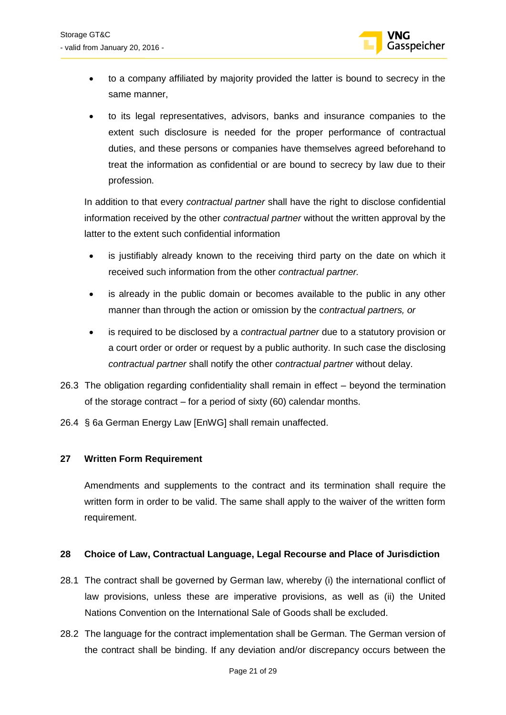

- to a company affiliated by majority provided the latter is bound to secrecy in the same manner,
- to its legal representatives, advisors, banks and insurance companies to the extent such disclosure is needed for the proper performance of contractual duties, and these persons or companies have themselves agreed beforehand to treat the information as confidential or are bound to secrecy by law due to their profession.

In addition to that every *contractual partner* shall have the right to disclose confidential information received by the other *contractual partner* without the written approval by the latter to the extent such confidential information

- is justifiably already known to the receiving third party on the date on which it received such information from the other *contractual partner.*
- is already in the public domain or becomes available to the public in any other manner than through the action or omission by the c*ontractual partners, or*
- is required to be disclosed by a *contractual partner* due to a statutory provision or a court order or order or request by a public authority. In such case the disclosing *contractual partner* shall notify the other c*ontractual partner* without delay.
- 26.3 The obligation regarding confidentiality shall remain in effect beyond the termination of the storage contract – for a period of sixty (60) calendar months.
- 26.4 § 6a German Energy Law [EnWG] shall remain unaffected.

### <span id="page-20-0"></span>**27 Written Form Requirement**

Amendments and supplements to the contract and its termination shall require the written form in order to be valid. The same shall apply to the waiver of the written form requirement.

### <span id="page-20-1"></span>**28 Choice of Law, Contractual Language, Legal Recourse and Place of Jurisdiction**

- 28.1 The contract shall be governed by German law, whereby (i) the international conflict of law provisions, unless these are imperative provisions, as well as (ii) the United Nations Convention on the International Sale of Goods shall be excluded.
- 28.2 The language for the contract implementation shall be German. The German version of the contract shall be binding. If any deviation and/or discrepancy occurs between the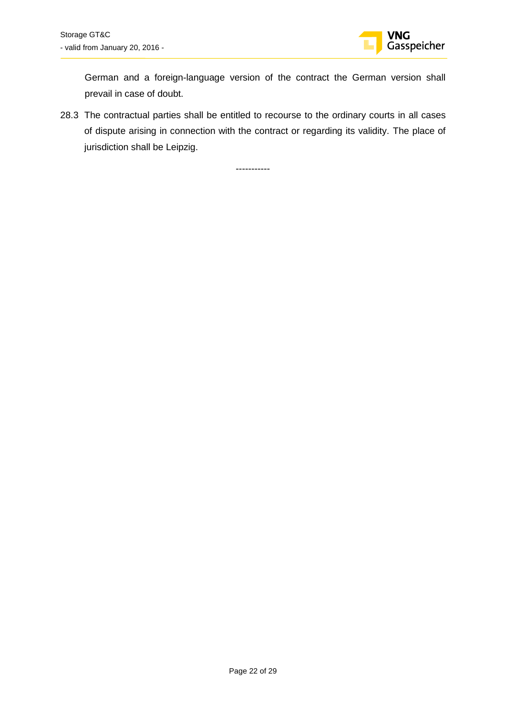

German and a foreign-language version of the contract the German version shall prevail in case of doubt.

28.3 The contractual parties shall be entitled to recourse to the ordinary courts in all cases of dispute arising in connection with the contract or regarding its validity. The place of jurisdiction shall be Leipzig.

-----------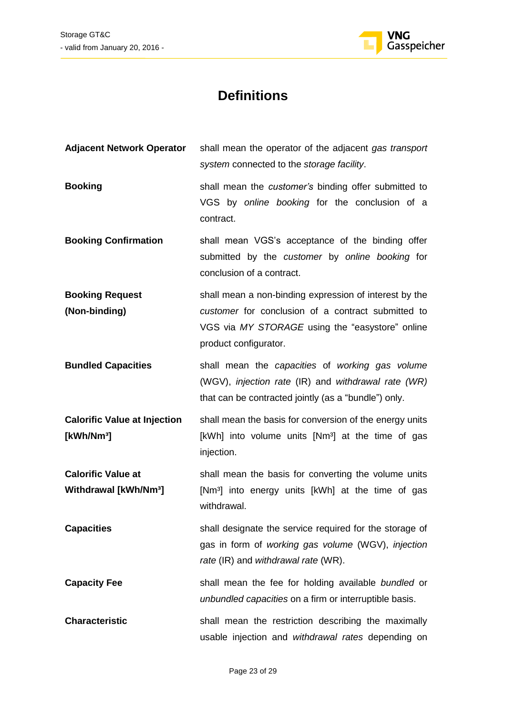

## **Definitions**

| <b>Adjacent Network Operator</b>                               | shall mean the operator of the adjacent gas transport<br>system connected to the storage facility.                                                                                       |
|----------------------------------------------------------------|------------------------------------------------------------------------------------------------------------------------------------------------------------------------------------------|
| <b>Booking</b>                                                 | shall mean the customer's binding offer submitted to<br>VGS by online booking for the conclusion of a<br>contract.                                                                       |
| <b>Booking Confirmation</b>                                    | shall mean VGS's acceptance of the binding offer<br>submitted by the customer by online booking for<br>conclusion of a contract.                                                         |
| <b>Booking Request</b><br>(Non-binding)                        | shall mean a non-binding expression of interest by the<br>customer for conclusion of a contract submitted to<br>VGS via MY STORAGE using the "easystore" online<br>product configurator. |
| <b>Bundled Capacities</b>                                      | shall mean the capacities of working gas volume<br>(WGV), injection rate (IR) and withdrawal rate (WR)<br>that can be contracted jointly (as a "bundle") only.                           |
| <b>Calorific Value at Injection</b><br>[kWh/Nm <sup>3</sup> ]  | shall mean the basis for conversion of the energy units<br>[kWh] into volume units [Nm <sup>3</sup> ] at the time of gas<br>injection.                                                   |
| <b>Calorific Value at</b><br>Withdrawal [kWh/Nm <sup>3</sup> ] | shall mean the basis for converting the volume units<br>[Nm <sup>3</sup> ] into energy units [kWh] at the time of gas<br>withdrawal.                                                     |
| <b>Capacities</b>                                              | shall designate the service required for the storage of<br>gas in form of working gas volume (WGV), injection<br>rate (IR) and withdrawal rate (WR).                                     |
| <b>Capacity Fee</b>                                            | shall mean the fee for holding available bundled or<br>unbundled capacities on a firm or interruptible basis.                                                                            |
| <b>Characteristic</b>                                          | shall mean the restriction describing the maximally<br>usable injection and withdrawal rates depending on                                                                                |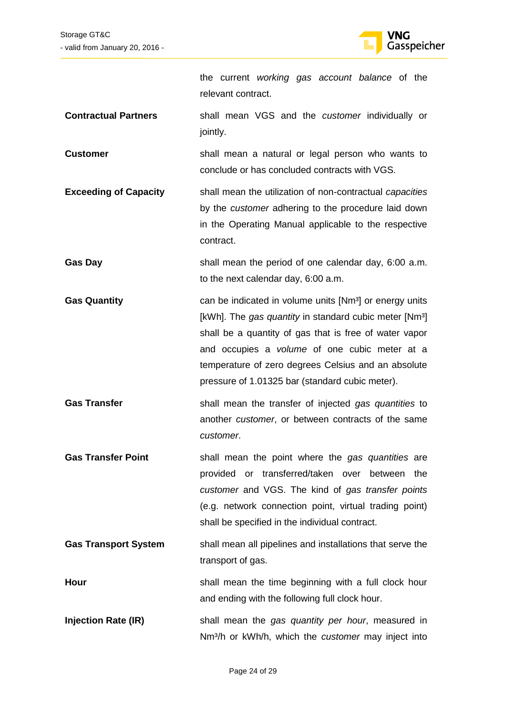

the current *working gas account balance* of the relevant contract.

- **Contractual Partners** shall mean VGS and the *customer* individually or jointly.
- **Customer** shall mean a natural or legal person who wants to conclude or has concluded contracts with VGS.
- **Exceeding of Capacity** shall mean the utilization of non-contractual *capacities* by the *customer* adhering to the procedure laid down in the Operating Manual applicable to the respective contract.
- Gas Day **Gas Day** shall mean the period of one calendar day, 6:00 a.m. to the next calendar day, 6:00 a.m.
- **Gas Quantity Can be indicated in volume units [Nm<sup>3</sup>] or energy units can be indicated in volume units [Nm<sup>3</sup>] or energy units** [kWh]. The *gas quantity* in standard cubic meter [Nm<sup>3</sup>] shall be a quantity of gas that is free of water vapor and occupies a *volume* of one cubic meter at a temperature of zero degrees Celsius and an absolute pressure of 1.01325 bar (standard cubic meter).
- **Gas Transfer** shall mean the transfer of injected *gas quantities* to another *customer*, or between contracts of the same *customer*.
- **Gas Transfer Point** shall mean the point where the *gas quantities* are provided or transferred/taken over between the *customer* and VGS. The kind of *gas transfer points* (e.g. network connection point, virtual trading point) shall be specified in the individual contract.
- Gas Transport System shall mean all pipelines and installations that serve the transport of gas.
- **Hour** shall mean the time beginning with a full clock hour and ending with the following full clock hour.
- **Injection Rate (IR)** shall mean the *gas quantity per hour*, measured in Nm³/h or kWh/h, which the *customer* may inject into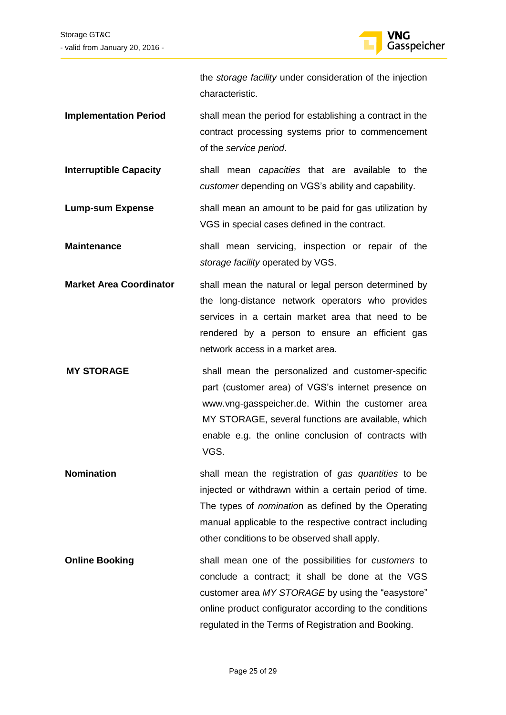

the *storage facility* under consideration of the injection characteristic.

- **Implementation Period** shall mean the period for establishing a contract in the contract processing systems prior to commencement of the *service period*.
- **Interruptible Capacity** shall mean *capacities* that are available to the *customer* depending on VGS's ability and capability.
- **Lump-sum Expense** shall mean an amount to be paid for gas utilization by VGS in special cases defined in the contract.
- **Maintenance** shall mean servicing, inspection or repair of the *storage facility* operated by VGS.
- **Market Area Coordinator** shall mean the natural or legal person determined by the long-distance network operators who provides services in a certain market area that need to be rendered by a person to ensure an efficient gas network access in a market area.
- **MY STORAGE** shall mean the personalized and customer-specific part (customer area) of VGS's internet presence on [www.vng-gasspeicher.de.](http://www.vng-gasspeicher.de/) Within the customer area MY STORAGE, several functions are available, which enable e.g. the online conclusion of contracts with VGS.
- **Nomination** shall mean the registration of *gas quantities* to be injected or withdrawn within a certain period of time. The types of *nominatio*n as defined by the Operating manual applicable to the respective contract including other conditions to be observed shall apply.
- **Online Booking** shall mean one of the possibilities for *customers* to conclude a contract; it shall be done at the VGS customer area *MY STORAGE* by using the "easystore" online product configurator according to the conditions regulated in the Terms of Registration and Booking.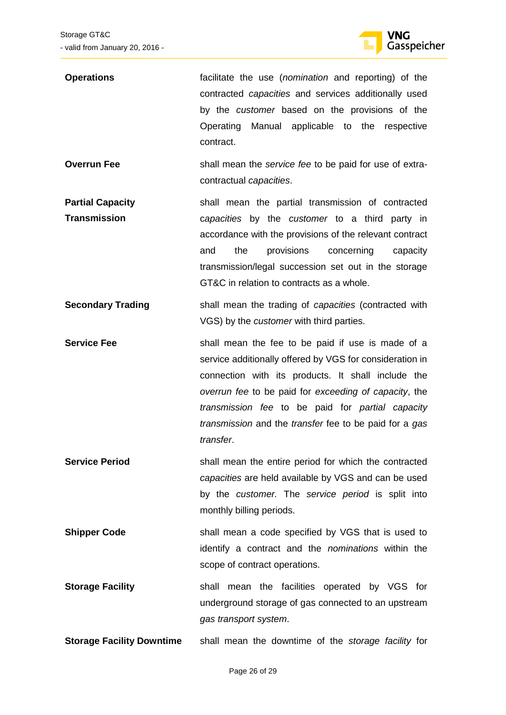

| <b>Operations</b>                              | facilitate the use (nomination and reporting) of the<br>contracted capacities and services additionally used<br>by the customer based on the provisions of the<br>Operating<br>Manual applicable to the respective<br>contract.                                                                                                                         |
|------------------------------------------------|---------------------------------------------------------------------------------------------------------------------------------------------------------------------------------------------------------------------------------------------------------------------------------------------------------------------------------------------------------|
| <b>Overrun Fee</b>                             | shall mean the service fee to be paid for use of extra-<br>contractual capacities.                                                                                                                                                                                                                                                                      |
| <b>Partial Capacity</b><br><b>Transmission</b> | shall mean the partial transmission of contracted<br>capacities by the customer to a third party in<br>accordance with the provisions of the relevant contract<br>the<br>provisions<br>concerning<br>and<br>capacity<br>transmission/legal succession set out in the storage<br>GT&C in relation to contracts as a whole.                               |
| <b>Secondary Trading</b>                       | shall mean the trading of <i>capacities</i> (contracted with<br>VGS) by the <i>customer</i> with third parties.                                                                                                                                                                                                                                         |
| <b>Service Fee</b>                             | shall mean the fee to be paid if use is made of a<br>service additionally offered by VGS for consideration in<br>connection with its products. It shall include the<br>overrun fee to be paid for exceeding of capacity, the<br>transmission fee to be paid for partial capacity<br>transmission and the transfer fee to be paid for a gas<br>transfer. |

**Service Period** shall mean the entire period for which the contracted *capacities* are held available by VGS and can be used by the *customer.* The *service period* is split into monthly billing periods.

**Shipper Code** shall mean a code specified by VGS that is used to identify a contract and the *nominations* within the scope of contract operations.

- **Storage Facility shall mean the facilities operated by VGS for** underground storage of gas connected to an upstream *gas transport system*.
- **Storage Facility Downtime** shall mean the downtime of the *storage facility* for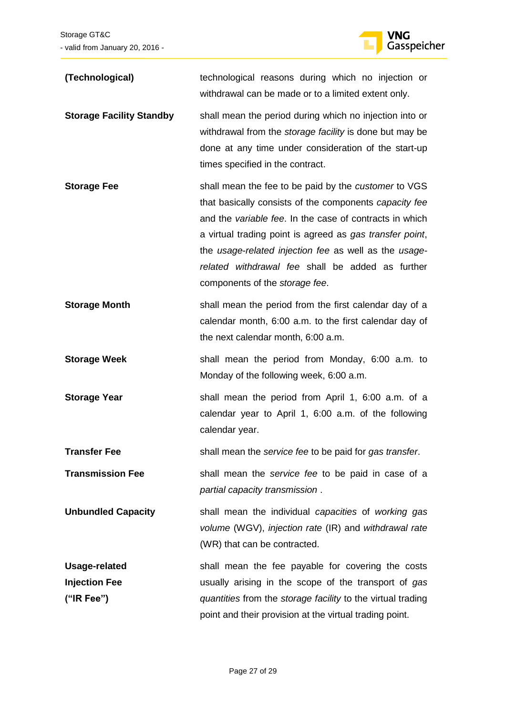

| (Technological)                                            | technological reasons during which no injection or<br>withdrawal can be made or to a limited extent only.                                                                                                                                                                                                                                                                                   |
|------------------------------------------------------------|---------------------------------------------------------------------------------------------------------------------------------------------------------------------------------------------------------------------------------------------------------------------------------------------------------------------------------------------------------------------------------------------|
| <b>Storage Facility Standby</b>                            | shall mean the period during which no injection into or<br>withdrawal from the storage facility is done but may be<br>done at any time under consideration of the start-up<br>times specified in the contract.                                                                                                                                                                              |
| <b>Storage Fee</b>                                         | shall mean the fee to be paid by the <i>customer</i> to VGS<br>that basically consists of the components capacity fee<br>and the variable fee. In the case of contracts in which<br>a virtual trading point is agreed as gas transfer point,<br>the usage-related injection fee as well as the usage-<br>related withdrawal fee shall be added as further<br>components of the storage fee. |
| <b>Storage Month</b>                                       | shall mean the period from the first calendar day of a<br>calendar month, 6:00 a.m. to the first calendar day of<br>the next calendar month, 6:00 a.m.                                                                                                                                                                                                                                      |
| <b>Storage Week</b>                                        | shall mean the period from Monday, 6:00 a.m. to<br>Monday of the following week, 6:00 a.m.                                                                                                                                                                                                                                                                                                  |
| <b>Storage Year</b>                                        | shall mean the period from April 1, 6:00 a.m. of a<br>calendar year to April 1, 6:00 a.m. of the following<br>calendar year.                                                                                                                                                                                                                                                                |
| Transfer Fee                                               | shall mean the service fee to be paid for gas transfer.                                                                                                                                                                                                                                                                                                                                     |
| <b>Transmission Fee</b>                                    | shall mean the service fee to be paid in case of a<br>partial capacity transmission.                                                                                                                                                                                                                                                                                                        |
| <b>Unbundled Capacity</b>                                  | shall mean the individual capacities of working gas<br>volume (WGV), injection rate (IR) and withdrawal rate<br>(WR) that can be contracted.                                                                                                                                                                                                                                                |
| <b>Usage-related</b><br><b>Injection Fee</b><br>("IR Fee") | shall mean the fee payable for covering the costs<br>usually arising in the scope of the transport of gas<br>quantities from the storage facility to the virtual trading<br>point and their provision at the virtual trading point.                                                                                                                                                         |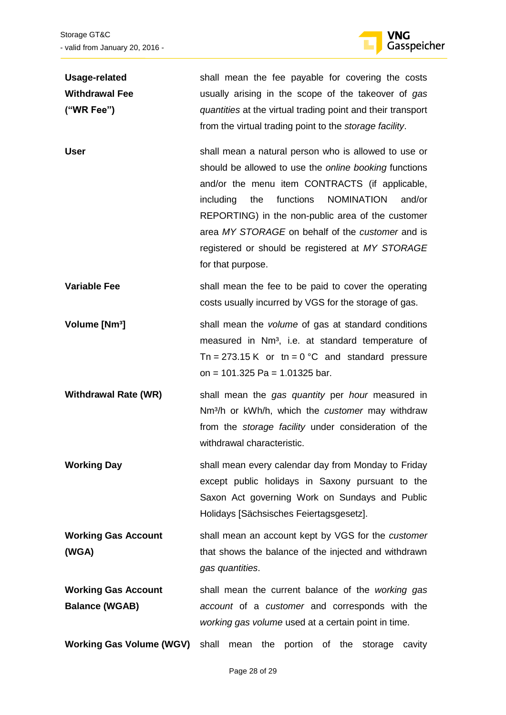

| <b>Usage-related</b>                | shall mean the fee payable for covering the costs                                                                                                                                                                                                                                                                                                                                                                 |
|-------------------------------------|-------------------------------------------------------------------------------------------------------------------------------------------------------------------------------------------------------------------------------------------------------------------------------------------------------------------------------------------------------------------------------------------------------------------|
| <b>Withdrawal Fee</b>               | usually arising in the scope of the takeover of gas                                                                                                                                                                                                                                                                                                                                                               |
| ("WR Fee")                          | quantities at the virtual trading point and their transport                                                                                                                                                                                                                                                                                                                                                       |
|                                     | from the virtual trading point to the storage facility.                                                                                                                                                                                                                                                                                                                                                           |
| <b>User</b>                         | shall mean a natural person who is allowed to use or<br>should be allowed to use the online booking functions<br>and/or the menu item CONTRACTS (if applicable,<br>functions<br><b>NOMINATION</b><br>including<br>the<br>and/or<br>REPORTING) in the non-public area of the customer<br>area MY STORAGE on behalf of the customer and is<br>registered or should be registered at MY STORAGE<br>for that purpose. |
| <b>Variable Fee</b>                 | shall mean the fee to be paid to cover the operating<br>costs usually incurred by VGS for the storage of gas.                                                                                                                                                                                                                                                                                                     |
| Volume [Nm <sup>3</sup> ]           | shall mean the volume of gas at standard conditions<br>measured in Nm <sup>3</sup> , i.e. at standard temperature of<br>Tn = 273.15 K or tn = $0^{\circ}$ C and standard pressure<br>on = $101.325$ Pa = $1.01325$ bar.                                                                                                                                                                                           |
| <b>Withdrawal Rate (WR)</b>         | shall mean the gas quantity per hour measured in<br>Nm <sup>3</sup> /h or kWh/h, which the <i>customer</i> may withdraw<br>from the <i>storage facility</i> under consideration of the<br>withdrawal characteristic.                                                                                                                                                                                              |
| <b>Working Day</b>                  | shall mean every calendar day from Monday to Friday<br>except public holidays in Saxony pursuant to the<br>Saxon Act governing Work on Sundays and Public<br>Holidays [Sächsisches Feiertagsgesetz].                                                                                                                                                                                                              |
| <b>Working Gas Account</b><br>(WGA) | shall mean an account kept by VGS for the customer<br>that shows the balance of the injected and withdrawn<br>gas quantities.                                                                                                                                                                                                                                                                                     |
| <b>Working Gas Account</b>          | shall mean the current balance of the working gas                                                                                                                                                                                                                                                                                                                                                                 |
| <b>Balance (WGAB)</b>               | account of a customer and corresponds with the                                                                                                                                                                                                                                                                                                                                                                    |
|                                     | working gas volume used at a certain point in time.                                                                                                                                                                                                                                                                                                                                                               |
| <b>Working Gas Volume (WGV)</b>     | shall<br>mean the portion of the storage<br>cavity                                                                                                                                                                                                                                                                                                                                                                |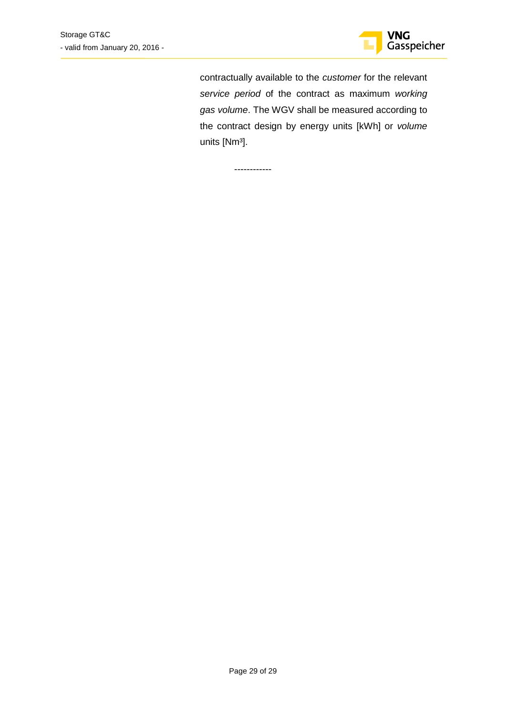

contractually available to the *customer* for the relevant *service period* of the contract as maximum *working gas volume*. The WGV shall be measured according to the contract design by energy units [kWh] or *volume* units [Nm³].

------------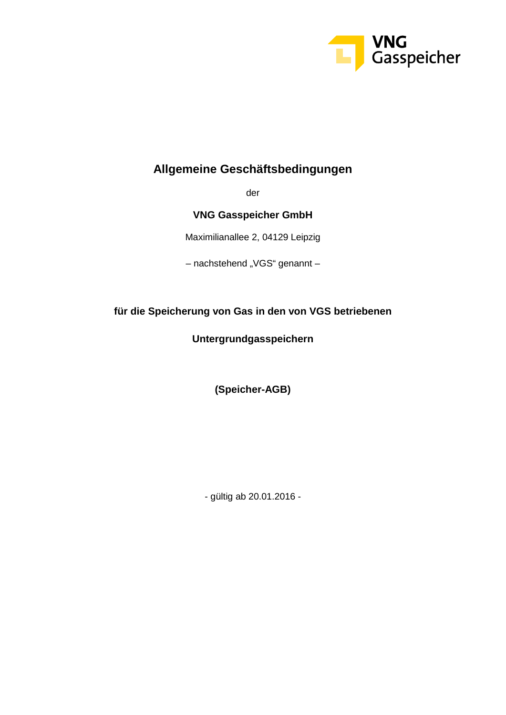

## **Allgemeine Geschäftsbedingungen**

der

**VNG Gasspeicher GmbH**

Maximilianallee 2, 04129 Leipzig

– nachstehend "VGS" genannt –

### **für die Speicherung von Gas in den von VGS betriebenen**

**Untergrundgasspeichern**

**(Speicher-AGB)**

- gültig ab 20.01.2016 -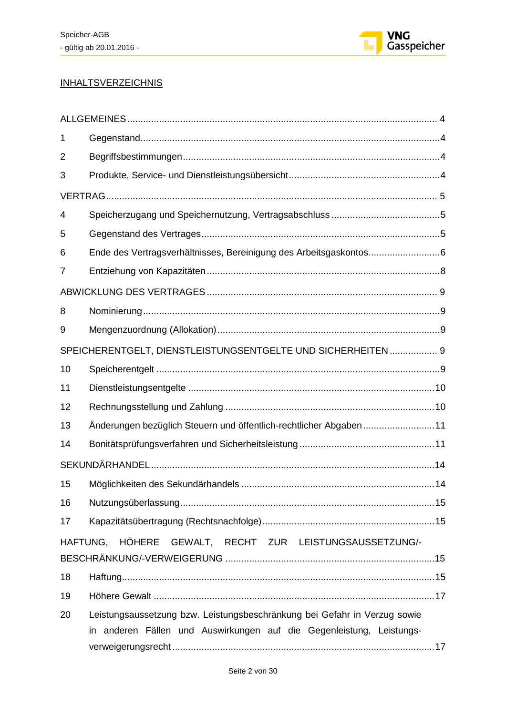

### **INHALTSVERZEICHNIS**

| 1  |                                                                           |
|----|---------------------------------------------------------------------------|
| 2  |                                                                           |
| 3  |                                                                           |
|    |                                                                           |
| 4  |                                                                           |
| 5  |                                                                           |
| 6  | Ende des Vertragsverhältnisses, Bereinigung des Arbeitsgaskontos6         |
| 7  |                                                                           |
|    |                                                                           |
| 8  |                                                                           |
| 9  |                                                                           |
|    | SPEICHERENTGELT, DIENSTLEISTUNGSENTGELTE UND SICHERHEITEN 9               |
| 10 |                                                                           |
| 11 |                                                                           |
| 12 |                                                                           |
| 13 | Änderungen bezüglich Steuern und öffentlich-rechtlicher Abgaben11         |
| 14 |                                                                           |
|    |                                                                           |
| 15 |                                                                           |
| 16 |                                                                           |
| 17 |                                                                           |
|    | HAFTUNG, HÖHERE GEWALT, RECHT ZUR LEISTUNGSAUSSETZUNG/-                   |
| 18 |                                                                           |
| 19 |                                                                           |
| 20 | Leistungsaussetzung bzw. Leistungsbeschränkung bei Gefahr in Verzug sowie |
|    | in anderen Fällen und Auswirkungen auf die Gegenleistung, Leistungs-      |
|    |                                                                           |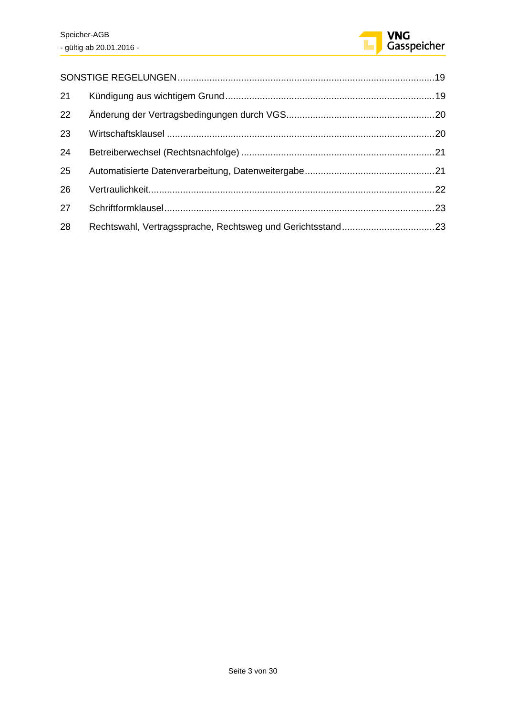

| 21 |  |
|----|--|
| 22 |  |
| 23 |  |
| 24 |  |
| 25 |  |
| 26 |  |
| 27 |  |
| 28 |  |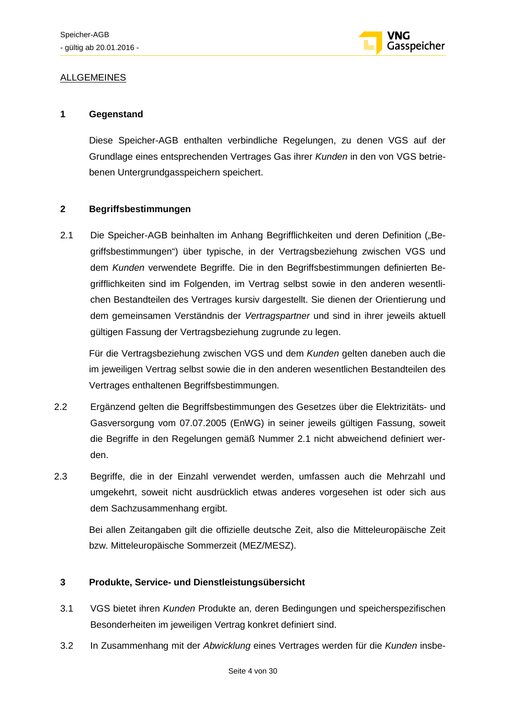

### ALLGEMEINES

### **1 Gegenstand**

Diese Speicher-AGB enthalten verbindliche Regelungen, zu denen VGS auf der Grundlage eines entsprechenden Vertrages Gas ihrer *Kunden* in den von VGS betriebenen Untergrundgasspeichern speichert.

### **2 Begriffsbestimmungen**

2.1 Die Speicher-AGB beinhalten im Anhang Begrifflichkeiten und deren Definition ("Begriffsbestimmungen") über typische, in der Vertragsbeziehung zwischen VGS und dem *Kunden* verwendete Begriffe. Die in den Begriffsbestimmungen definierten Begrifflichkeiten sind im Folgenden, im Vertrag selbst sowie in den anderen wesentlichen Bestandteilen des Vertrages kursiv dargestellt. Sie dienen der Orientierung und dem gemeinsamen Verständnis der *Vertragspartner* und sind in ihrer jeweils aktuell gültigen Fassung der Vertragsbeziehung zugrunde zu legen.

Für die Vertragsbeziehung zwischen VGS und dem *Kunden* gelten daneben auch die im jeweiligen Vertrag selbst sowie die in den anderen wesentlichen Bestandteilen des Vertrages enthaltenen Begriffsbestimmungen.

- 2.2 Ergänzend gelten die Begriffsbestimmungen des Gesetzes über die Elektrizitäts- und Gasversorgung vom 07.07.2005 (EnWG) in seiner jeweils gültigen Fassung, soweit die Begriffe in den Regelungen gemäß Nummer 2.1 nicht abweichend definiert werden.
- 2.3 Begriffe, die in der Einzahl verwendet werden, umfassen auch die Mehrzahl und umgekehrt, soweit nicht ausdrücklich etwas anderes vorgesehen ist oder sich aus dem Sachzusammenhang ergibt.

Bei allen Zeitangaben gilt die offizielle deutsche Zeit, also die Mitteleuropäische Zeit bzw. Mitteleuropäische Sommerzeit (MEZ/MESZ).

### **3 Produkte, Service- und Dienstleistungsübersicht**

- 3.1 VGS bietet ihren *Kunden* Produkte an, deren Bedingungen und speicherspezifischen Besonderheiten im jeweiligen Vertrag konkret definiert sind.
- 3.2 In Zusammenhang mit der *Abwicklung* eines Vertrages werden für die *Kunden* insbe-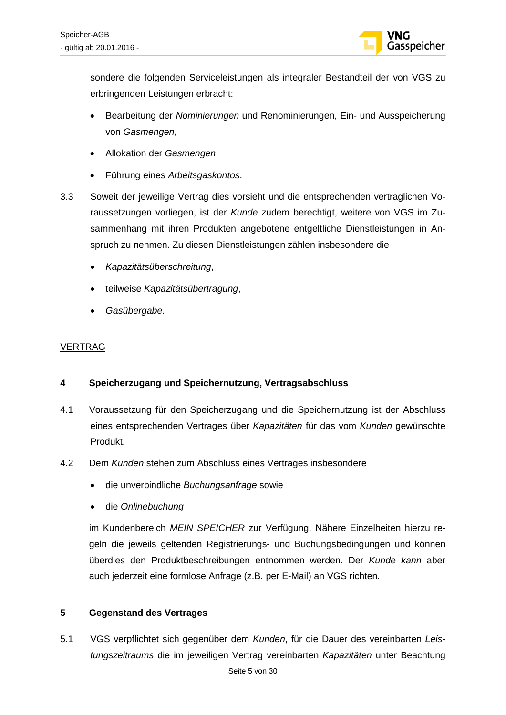

sondere die folgenden Serviceleistungen als integraler Bestandteil der von VGS zu erbringenden Leistungen erbracht:

- Bearbeitung der *Nominierungen* und Renominierungen, Ein- und Ausspeicherung von *Gasmengen*,
- Allokation der *Gasmengen*,
- Führung eines *Arbeitsgaskontos*.
- 3.3 Soweit der jeweilige Vertrag dies vorsieht und die entsprechenden vertraglichen Voraussetzungen vorliegen, ist der *Kunde* zudem berechtigt, weitere von VGS im Zusammenhang mit ihren Produkten angebotene entgeltliche Dienstleistungen in Anspruch zu nehmen. Zu diesen Dienstleistungen zählen insbesondere die
	- *Kapazitätsüberschreitung*,
	- teilweise *Kapazitätsübertragung*,
	- *Gasübergabe*.

### VERTRAG

### **4 Speicherzugang und Speichernutzung, Vertragsabschluss**

- 4.1 Voraussetzung für den Speicherzugang und die Speichernutzung ist der Abschluss eines entsprechenden Vertrages über *Kapazitäten* für das vom *Kunden* gewünschte Produkt.
- 4.2 Dem *Kunden* stehen zum Abschluss eines Vertrages insbesondere
	- die unverbindliche *Buchungsanfrage* sowie
	- die *Onlinebuchung*

im Kundenbereich *MEIN SPEICHER* zur Verfügung. Nähere Einzelheiten hierzu regeln die jeweils geltenden Registrierungs- und Buchungsbedingungen und können überdies den Produktbeschreibungen entnommen werden. Der *Kunde kann* aber auch jederzeit eine formlose Anfrage (z.B. per E-Mail) an VGS richten.

### **5 Gegenstand des Vertrages**

5.1 VGS verpflichtet sich gegenüber dem *Kunden*, für die Dauer des vereinbarten *Leistungszeitraums* die im jeweiligen Vertrag vereinbarten *Kapazitäten* unter Beachtung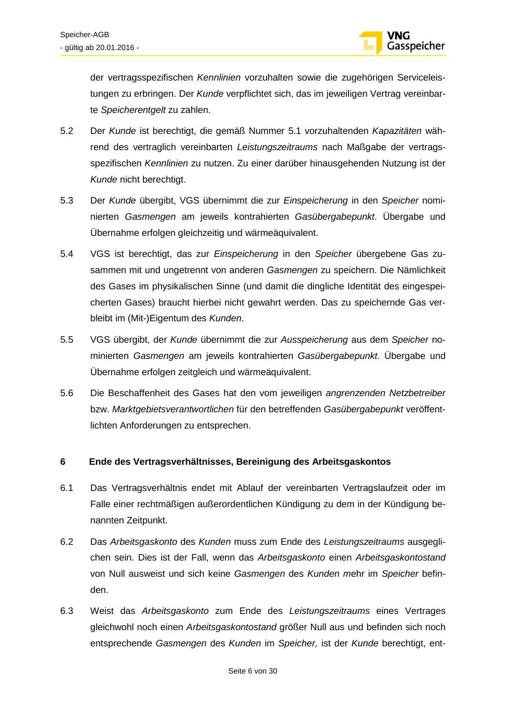

der vertragsspezifischen *Kennlinien* vorzuhalten sowie die zugehörigen Serviceleistungen zu erbringen. Der *Kunde* verpflichtet sich, das im jeweiligen Vertrag vereinbarte *Speicherentgelt* zu zahlen.

- 5.2 Der *Kunde* ist berechtigt, die gemäß Nummer 5.1 vorzuhaltenden *Kapazitäten* während des vertraglich vereinbarten *Leistungszeitraums* nach Maßgabe der vertragsspezifischen *Kennlinien* zu nutzen. Zu einer darüber hinausgehenden Nutzung ist der *Kunde* nicht berechtigt.
- 5.3 Der *Kunde* übergibt, VGS übernimmt die zur *Einspeicherung* in den *Speicher* nominierten *Gasmengen* am jeweils kontrahierten *Gasübergabepunkt*. Übergabe und Übernahme erfolgen gleichzeitig und wärmeäquivalent.
- 5.4 VGS ist berechtigt, das zur *Einspeicherung* in den *Speicher* übergebene Gas zusammen mit und ungetrennt von anderen *Gasmengen* zu speichern. Die Nämlichkeit des Gases im physikalischen Sinne (und damit die dingliche Identität des eingespeicherten Gases) braucht hierbei nicht gewahrt werden. Das zu speichernde Gas verbleibt im (Mit-)Eigentum des *Kunden*.
- 5.5 VGS übergibt, der *Kunde* übernimmt die zur *Ausspeicherung* aus dem *Speicher* nominierten *Gasmengen* am jeweils kontrahierten *Gasübergabepunkt*. Übergabe und Übernahme erfolgen zeitgleich und wärmeäquivalent.
- 5.6 Die Beschaffenheit des Gases hat den vom jeweiligen *angrenzenden Netzbetreiber* bzw. *Marktgebietsverantwortlichen* für den betreffenden *Gasübergabepunkt* veröffentlichten Anforderungen zu entsprechen.

### **6 Ende des Vertragsverhältnisses, Bereinigung des Arbeitsgaskontos**

- 6.1 Das Vertragsverhältnis endet mit Ablauf der vereinbarten Vertragslaufzeit oder im Falle einer rechtmäßigen außerordentlichen Kündigung zu dem in der Kündigung benannten Zeitpunkt.
- 6.2 Das *Arbeitsgaskonto* des *Kunden* muss zum Ende des *Leistungszeitraums* ausgeglichen sein. Dies ist der Fall, wenn das *Arbeitsgaskonto* einen *Arbeitsgaskontostand* von Null ausweist und sich keine *Gasmengen* des *Kunden m*ehr im *Speicher* befinden.
- 6.3 Weist das *Arbeitsgaskonto* zum Ende des *Leistungszeitraums* eines Vertrages gleichwohl noch einen *Arbeitsgaskontostand* größer Null aus und befinden sich noch entsprechende *Gasmengen* des *Kunden* im *Speicher,* ist der *Kunde* berechtigt, ent-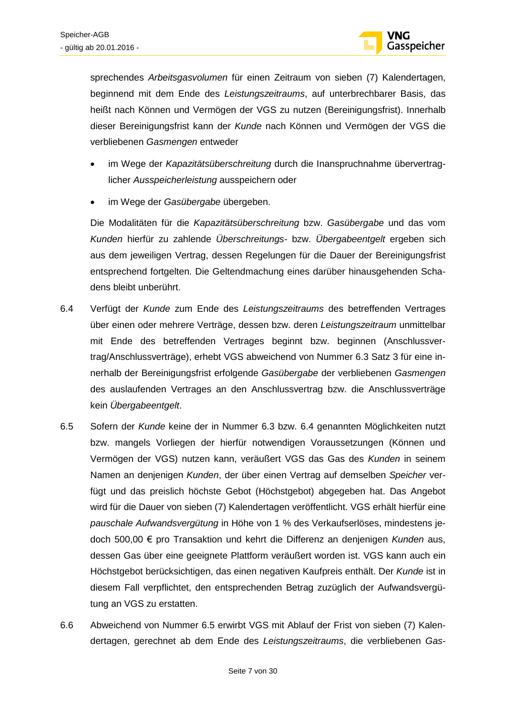

sprechendes *Arbeitsgasvolumen* für einen Zeitraum von sieben (7) Kalendertagen, beginnend mit dem Ende des *Leistungszeitraums*, auf unterbrechbarer Basis, das heißt nach Können und Vermögen der VGS zu nutzen (Bereinigungsfrist). Innerhalb dieser Bereinigungsfrist kann der *Kunde* nach Können und Vermögen der VGS die verbliebenen *Gasmengen* entweder

- im Wege der *Kapazitätsüberschreitung* durch die Inanspruchnahme übervertraglicher *Ausspeicherleistung* ausspeichern oder
- im Wege der *Gasübergabe* übergeben.

Die Modalitäten für die *Kapazitätsüberschreitung* bzw. *Gasübergabe* und das vom *Kunden* hierfür zu zahlende *Überschreitungs-* bzw. *Übergabeentgelt* ergeben sich aus dem jeweiligen Vertrag, dessen Regelungen für die Dauer der Bereinigungsfrist entsprechend fortgelten. Die Geltendmachung eines darüber hinausgehenden Schadens bleibt unberührt.

- 6.4 Verfügt der *Kunde* zum Ende des *Leistungszeitraums* des betreffenden Vertrages über einen oder mehrere Verträge, dessen bzw. deren *Leistungszeitraum* unmittelbar mit Ende des betreffenden Vertrages beginnt bzw. beginnen (Anschlussvertrag/Anschlussverträge), erhebt VGS abweichend von Nummer 6.3 Satz 3 für eine innerhalb der Bereinigungsfrist erfolgende *Gasübergabe* der verbliebenen *Gasmengen* des auslaufenden Vertrages an den Anschlussvertrag bzw. die Anschlussverträge kein *Übergabeentgelt*.
- 6.5 Sofern der *Kunde* keine der in Nummer 6.3 bzw. 6.4 genannten Möglichkeiten nutzt bzw. mangels Vorliegen der hierfür notwendigen Voraussetzungen (Können und Vermögen der VGS) nutzen kann, veräußert VGS das Gas des *Kunden* in seinem Namen an denjenigen *Kunden*, der über einen Vertrag auf demselben *Speicher* verfügt und das preislich höchste Gebot (Höchstgebot) abgegeben hat. Das Angebot wird für die Dauer von sieben (7) Kalendertagen veröffentlicht. VGS erhält hierfür eine *pauschale Aufwandsvergütung* in Höhe von 1 % des Verkaufserlöses, mindestens jedoch 500,00 € pro Transaktion und kehrt die Differenz an denjenigen *Kunden* aus, dessen Gas über eine geeignete Plattform veräußert worden ist. VGS kann auch ein Höchstgebot berücksichtigen, das einen negativen Kaufpreis enthält. Der *Kunde* ist in diesem Fall verpflichtet, den entsprechenden Betrag zuzüglich der Aufwandsvergütung an VGS zu erstatten.
- 6.6 Abweichend von Nummer 6.5 erwirbt VGS mit Ablauf der Frist von sieben (7) Kalendertagen, gerechnet ab dem Ende des *Leistungszeitraums*, die verbliebenen *Gas-*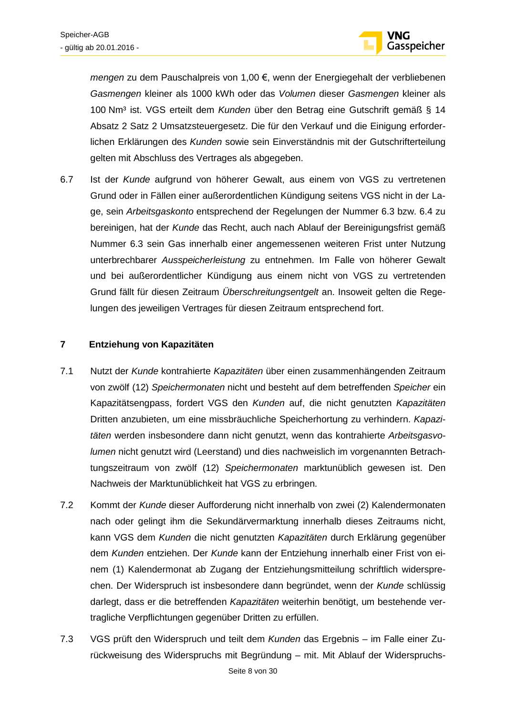

*mengen* zu dem Pauschalpreis von 1,00 €, wenn der Energiegehalt der verbliebenen *Gasmengen* kleiner als 1000 kWh oder das *Volumen* dieser *Gasmengen* kleiner als 100 Nm³ ist. VGS erteilt dem *Kunden* über den Betrag eine Gutschrift gemäß § 14 Absatz 2 Satz 2 Umsatzsteuergesetz. Die für den Verkauf und die Einigung erforderlichen Erklärungen des *Kunden* sowie sein Einverständnis mit der Gutschrifterteilung gelten mit Abschluss des Vertrages als abgegeben.

6.7 Ist der *Kunde* aufgrund von höherer Gewalt, aus einem von VGS zu vertretenen Grund oder in Fällen einer außerordentlichen Kündigung seitens VGS nicht in der Lage, sein *Arbeitsgaskonto* entsprechend der Regelungen der Nummer 6.3 bzw. 6.4 zu bereinigen, hat der *Kunde* das Recht, auch nach Ablauf der Bereinigungsfrist gemäß Nummer 6.3 sein Gas innerhalb einer angemessenen weiteren Frist unter Nutzung unterbrechbarer *Ausspeicherleistung* zu entnehmen. Im Falle von höherer Gewalt und bei außerordentlicher Kündigung aus einem nicht von VGS zu vertretenden Grund fällt für diesen Zeitraum *Überschreitungsentgelt* an. Insoweit gelten die Regelungen des jeweiligen Vertrages für diesen Zeitraum entsprechend fort.

### **7 Entziehung von Kapazitäten**

- 7.1 Nutzt der *Kunde* kontrahierte *Kapazitäten* über einen zusammenhängenden Zeitraum von zwölf (12) *Speichermonaten* nicht und besteht auf dem betreffenden *Speicher* ein Kapazitätsengpass, fordert VGS den *Kunden* auf, die nicht genutzten *Kapazitäten* Dritten anzubieten, um eine missbräuchliche Speicherhortung zu verhindern. *Kapazitäten* werden insbesondere dann nicht genutzt, wenn das kontrahierte *Arbeitsgasvolumen* nicht genutzt wird (Leerstand) und dies nachweislich im vorgenannten Betrachtungszeitraum von zwölf (12) *Speichermonaten* marktunüblich gewesen ist. Den Nachweis der Marktunüblichkeit hat VGS zu erbringen.
- 7.2 Kommt der *Kunde* dieser Aufforderung nicht innerhalb von zwei (2) Kalendermonaten nach oder gelingt ihm die Sekundärvermarktung innerhalb dieses Zeitraums nicht, kann VGS dem *Kunden* die nicht genutzten *Kapazitäten* durch Erklärung gegenüber dem *Kunden* entziehen. Der *Kunde* kann der Entziehung innerhalb einer Frist von einem (1) Kalendermonat ab Zugang der Entziehungsmitteilung schriftlich widersprechen. Der Widerspruch ist insbesondere dann begründet, wenn der *Kunde* schlüssig darlegt, dass er die betreffenden *Kapazitäten* weiterhin benötigt, um bestehende vertragliche Verpflichtungen gegenüber Dritten zu erfüllen.
- 7.3 VGS prüft den Widerspruch und teilt dem *Kunden* das Ergebnis im Falle einer Zurückweisung des Widerspruchs mit Begründung – mit. Mit Ablauf der Widerspruchs-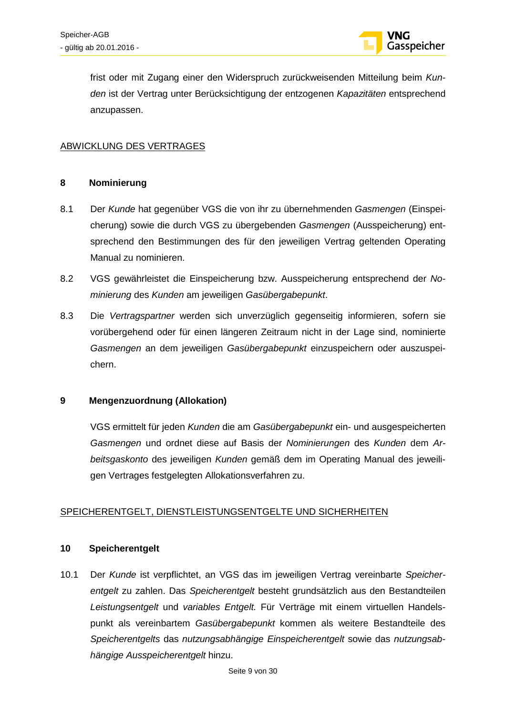

frist oder mit Zugang einer den Widerspruch zurückweisenden Mitteilung beim *Kunden* ist der Vertrag unter Berücksichtigung der entzogenen *Kapazitäten* entsprechend anzupassen.

### ABWICKLUNG DES VERTRAGES

#### **8 Nominierung**

- 8.1 Der *Kunde* hat gegenüber VGS die von ihr zu übernehmenden *Gasmengen* (Einspeicherung) sowie die durch VGS zu übergebenden *Gasmengen* (Ausspeicherung) entsprechend den Bestimmungen des für den jeweiligen Vertrag geltenden Operating Manual zu nominieren.
- 8.2 VGS gewährleistet die Einspeicherung bzw. Ausspeicherung entsprechend der *Nominierung* des *Kunden* am jeweiligen *Gasübergabepunkt*.
- 8.3 Die *Vertragspartner* werden sich unverzüglich gegenseitig informieren, sofern sie vorübergehend oder für einen längeren Zeitraum nicht in der Lage sind, nominierte *Gasmengen* an dem jeweiligen *Gasübergabepunkt* einzuspeichern oder auszuspeichern.

### **9 Mengenzuordnung (Allokation)**

VGS ermittelt für jeden *Kunden* die am *Gasübergabepunkt* ein- und ausgespeicherten *Gasmengen* und ordnet diese auf Basis der *Nominierungen* des *Kunden* dem *Arbeitsgaskonto* des jeweiligen *Kunden* gemäß dem im Operating Manual des jeweiligen Vertrages festgelegten Allokationsverfahren zu.

### SPEICHERENTGELT, DIENSTLEISTUNGSENTGELTE UND SICHERHEITEN

### **10 Speicherentgelt**

10.1 Der *Kunde* ist verpflichtet, an VGS das im jeweiligen Vertrag vereinbarte *Speicherentgelt* zu zahlen. Das *Speicherentgelt* besteht grundsätzlich aus den Bestandteilen *Leistungsentgelt* und *variables Entgelt.* Für Verträge mit einem virtuellen Handelspunkt als vereinbartem *Gasübergabepunkt* kommen als weitere Bestandteile des *Speicherentgelts* das *nutzungsabhängige Einspeicherentgelt* sowie das *nutzungsabhängige Ausspeicherentgelt* hinzu.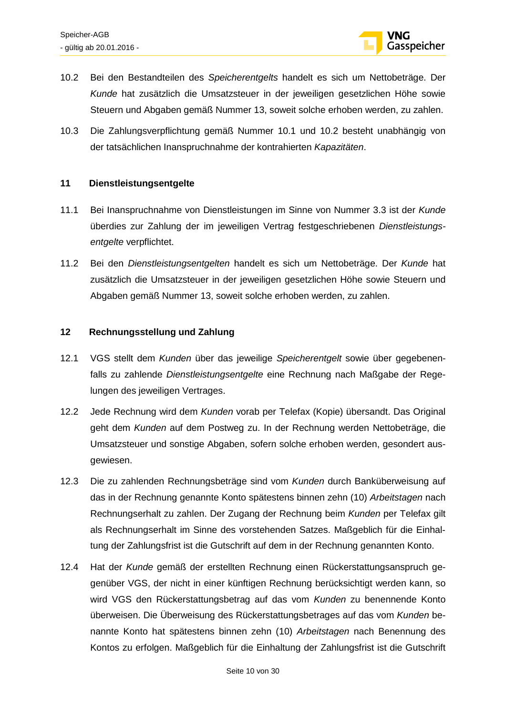

- 10.2 Bei den Bestandteilen des *Speicherentgelts* handelt es sich um Nettobeträge. Der *Kunde* hat zusätzlich die Umsatzsteuer in der jeweiligen gesetzlichen Höhe sowie Steuern und Abgaben gemäß Nummer 13, soweit solche erhoben werden, zu zahlen.
- 10.3 Die Zahlungsverpflichtung gemäß Nummer 10.1 und 10.2 besteht unabhängig von der tatsächlichen Inanspruchnahme der kontrahierten *Kapazitäten*.

### **11 Dienstleistungsentgelte**

- 11.1 Bei Inanspruchnahme von Dienstleistungen im Sinne von Nummer 3.3 ist der *Kunde* überdies zur Zahlung der im jeweiligen Vertrag festgeschriebenen *Dienstleistungsentgelte* verpflichtet.
- 11.2 Bei den *Dienstleistungsentgelten* handelt es sich um Nettobeträge. Der *Kunde* hat zusätzlich die Umsatzsteuer in der jeweiligen gesetzlichen Höhe sowie Steuern und Abgaben gemäß Nummer 13, soweit solche erhoben werden, zu zahlen.

#### **12 Rechnungsstellung und Zahlung**

- 12.1 VGS stellt dem *Kunden* über das jeweilige *Speicherentgelt* sowie über gegebenenfalls zu zahlende *Dienstleistungsentgelte* eine Rechnung nach Maßgabe der Regelungen des jeweiligen Vertrages.
- 12.2 Jede Rechnung wird dem *Kunden* vorab per Telefax (Kopie) übersandt. Das Original geht dem *Kunden* auf dem Postweg zu. In der Rechnung werden Nettobeträge, die Umsatzsteuer und sonstige Abgaben, sofern solche erhoben werden, gesondert ausgewiesen.
- 12.3 Die zu zahlenden Rechnungsbeträge sind vom *Kunden* durch Banküberweisung auf das in der Rechnung genannte Konto spätestens binnen zehn (10) *Arbeitstagen* nach Rechnungserhalt zu zahlen. Der Zugang der Rechnung beim *Kunden* per Telefax gilt als Rechnungserhalt im Sinne des vorstehenden Satzes. Maßgeblich für die Einhaltung der Zahlungsfrist ist die Gutschrift auf dem in der Rechnung genannten Konto.
- 12.4 Hat der *Kunde* gemäß der erstellten Rechnung einen Rückerstattungsanspruch gegenüber VGS, der nicht in einer künftigen Rechnung berücksichtigt werden kann, so wird VGS den Rückerstattungsbetrag auf das vom *Kunden* zu benennende Konto überweisen. Die Überweisung des Rückerstattungsbetrages auf das vom *Kunden* benannte Konto hat spätestens binnen zehn (10) *Arbeitstagen* nach Benennung des Kontos zu erfolgen. Maßgeblich für die Einhaltung der Zahlungsfrist ist die Gutschrift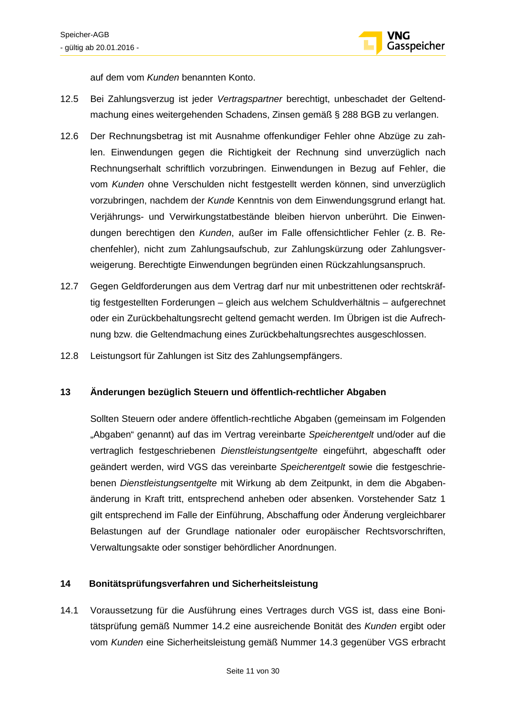

auf dem vom *Kunden* benannten Konto.

- 12.5 Bei Zahlungsverzug ist jeder *Vertragspartner* berechtigt, unbeschadet der Geltendmachung eines weitergehenden Schadens, Zinsen gemäß § 288 BGB zu verlangen.
- 12.6 Der Rechnungsbetrag ist mit Ausnahme offenkundiger Fehler ohne Abzüge zu zahlen. Einwendungen gegen die Richtigkeit der Rechnung sind unverzüglich nach Rechnungserhalt schriftlich vorzubringen. Einwendungen in Bezug auf Fehler, die vom *Kunden* ohne Verschulden nicht festgestellt werden können, sind unverzüglich vorzubringen, nachdem der *Kunde* Kenntnis von dem Einwendungsgrund erlangt hat. Verjährungs- und Verwirkungstatbestände bleiben hiervon unberührt. Die Einwendungen berechtigen den *Kunden*, außer im Falle offensichtlicher Fehler (z. B. Rechenfehler), nicht zum Zahlungsaufschub, zur Zahlungskürzung oder Zahlungsverweigerung. Berechtigte Einwendungen begründen einen Rückzahlungsanspruch.
- 12.7 Gegen Geldforderungen aus dem Vertrag darf nur mit unbestrittenen oder rechtskräftig festgestellten Forderungen – gleich aus welchem Schuldverhältnis – aufgerechnet oder ein Zurückbehaltungsrecht geltend gemacht werden. Im Übrigen ist die Aufrechnung bzw. die Geltendmachung eines Zurückbehaltungsrechtes ausgeschlossen.
- 12.8 Leistungsort für Zahlungen ist Sitz des Zahlungsempfängers.

### **13 Änderungen bezüglich Steuern und öffentlich-rechtlicher Abgaben**

Sollten Steuern oder andere öffentlich-rechtliche Abgaben (gemeinsam im Folgenden "Abgaben" genannt) auf das im Vertrag vereinbarte *Speicherentgelt* und/oder auf die vertraglich festgeschriebenen *Dienstleistungsentgelte* eingeführt, abgeschafft oder geändert werden, wird VGS das vereinbarte *Speicherentgelt* sowie die festgeschriebenen *Dienstleistungsentgelte* mit Wirkung ab dem Zeitpunkt, in dem die Abgabenänderung in Kraft tritt, entsprechend anheben oder absenken. Vorstehender Satz 1 gilt entsprechend im Falle der Einführung, Abschaffung oder Änderung vergleichbarer Belastungen auf der Grundlage nationaler oder europäischer Rechtsvorschriften, Verwaltungsakte oder sonstiger behördlicher Anordnungen.

### **14 Bonitätsprüfungsverfahren und Sicherheitsleistung**

14.1 Voraussetzung für die Ausführung eines Vertrages durch VGS ist, dass eine Bonitätsprüfung gemäß Nummer 14.2 eine ausreichende Bonität des *Kunden* ergibt oder vom *Kunden* eine Sicherheitsleistung gemäß Nummer 14.3 gegenüber VGS erbracht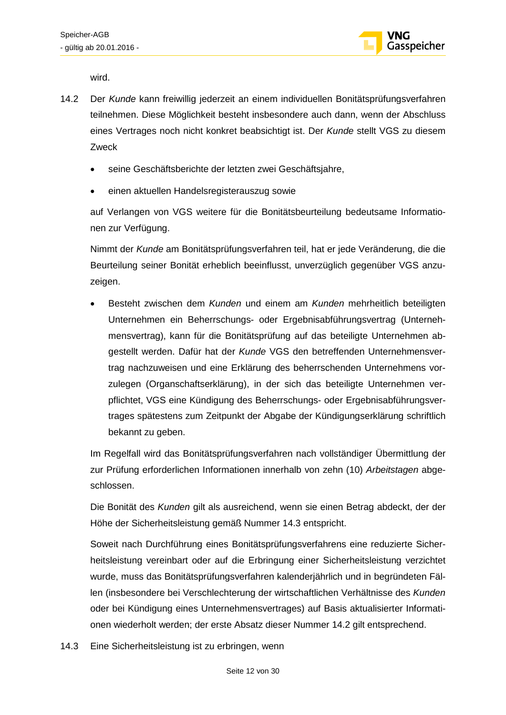

wird.

- 14.2 Der *Kunde* kann freiwillig jederzeit an einem individuellen Bonitätsprüfungsverfahren teilnehmen. Diese Möglichkeit besteht insbesondere auch dann, wenn der Abschluss eines Vertrages noch nicht konkret beabsichtigt ist. Der *Kunde* stellt VGS zu diesem Zweck
	- seine Geschäftsberichte der letzten zwei Geschäftsjahre,
	- einen aktuellen Handelsregisterauszug sowie

auf Verlangen von VGS weitere für die Bonitätsbeurteilung bedeutsame Informationen zur Verfügung.

Nimmt der *Kunde* am Bonitätsprüfungsverfahren teil, hat er jede Veränderung, die die Beurteilung seiner Bonität erheblich beeinflusst, unverzüglich gegenüber VGS anzuzeigen.

• Besteht zwischen dem *Kunden* und einem am *Kunden* mehrheitlich beteiligten Unternehmen ein Beherrschungs- oder Ergebnisabführungsvertrag (Unternehmensvertrag), kann für die Bonitätsprüfung auf das beteiligte Unternehmen abgestellt werden. Dafür hat der *Kunde* VGS den betreffenden Unternehmensvertrag nachzuweisen und eine Erklärung des beherrschenden Unternehmens vorzulegen (Organschaftserklärung), in der sich das beteiligte Unternehmen verpflichtet, VGS eine Kündigung des Beherrschungs- oder Ergebnisabführungsvertrages spätestens zum Zeitpunkt der Abgabe der Kündigungserklärung schriftlich bekannt zu geben.

Im Regelfall wird das Bonitätsprüfungsverfahren nach vollständiger Übermittlung der zur Prüfung erforderlichen Informationen innerhalb von zehn (10) *Arbeitstagen* abgeschlossen.

Die Bonität des *Kunden* gilt als ausreichend, wenn sie einen Betrag abdeckt, der der Höhe der Sicherheitsleistung gemäß Nummer 14.3 entspricht.

Soweit nach Durchführung eines Bonitätsprüfungsverfahrens eine reduzierte Sicherheitsleistung vereinbart oder auf die Erbringung einer Sicherheitsleistung verzichtet wurde, muss das Bonitätsprüfungsverfahren kalenderjährlich und in begründeten Fällen (insbesondere bei Verschlechterung der wirtschaftlichen Verhältnisse des *Kunden* oder bei Kündigung eines Unternehmensvertrages) auf Basis aktualisierter Informationen wiederholt werden; der erste Absatz dieser Nummer 14.2 gilt entsprechend.

14.3 Eine Sicherheitsleistung ist zu erbringen, wenn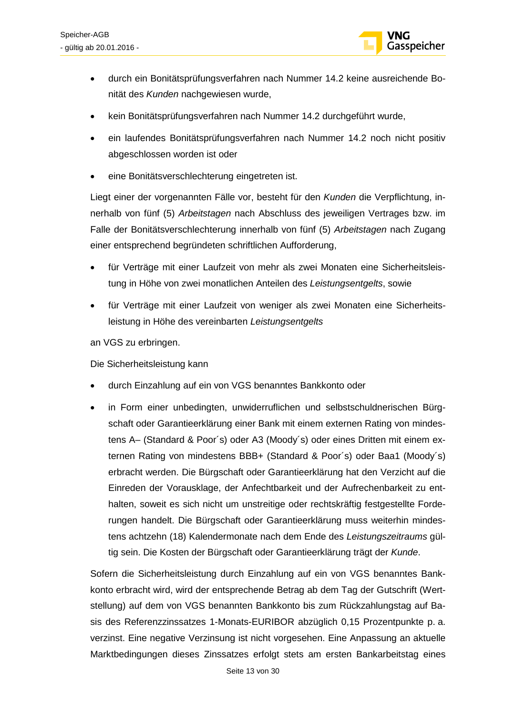

- durch ein Bonitätsprüfungsverfahren nach Nummer 14.2 keine ausreichende Bonität des *Kunden* nachgewiesen wurde,
- kein Bonitätsprüfungsverfahren nach Nummer 14.2 durchgeführt wurde,
- ein laufendes Bonitätsprüfungsverfahren nach Nummer 14.2 noch nicht positiv abgeschlossen worden ist oder
- eine Bonitätsverschlechterung eingetreten ist.

Liegt einer der vorgenannten Fälle vor, besteht für den *Kunden* die Verpflichtung, innerhalb von fünf (5) *Arbeitstagen* nach Abschluss des jeweiligen Vertrages bzw. im Falle der Bonitätsverschlechterung innerhalb von fünf (5) *Arbeitstagen* nach Zugang einer entsprechend begründeten schriftlichen Aufforderung,

- für Verträge mit einer Laufzeit von mehr als zwei Monaten eine Sicherheitsleistung in Höhe von zwei monatlichen Anteilen des *Leistungsentgelts*, sowie
- für Verträge mit einer Laufzeit von weniger als zwei Monaten eine Sicherheitsleistung in Höhe des vereinbarten *Leistungsentgelts*

an VGS zu erbringen.

Die Sicherheitsleistung kann

- durch Einzahlung auf ein von VGS benanntes Bankkonto oder
- in Form einer unbedingten, unwiderruflichen und selbstschuldnerischen Bürgschaft oder Garantieerklärung einer Bank mit einem externen Rating von mindestens A– (Standard & Poor´s) oder A3 (Moody´s) oder eines Dritten mit einem externen Rating von mindestens BBB+ (Standard & Poor´s) oder Baa1 (Moody´s) erbracht werden. Die Bürgschaft oder Garantieerklärung hat den Verzicht auf die Einreden der Vorausklage, der Anfechtbarkeit und der Aufrechenbarkeit zu enthalten, soweit es sich nicht um unstreitige oder rechtskräftig festgestellte Forderungen handelt. Die Bürgschaft oder Garantieerklärung muss weiterhin mindestens achtzehn (18) Kalendermonate nach dem Ende des *Leistungszeitraums* gültig sein. Die Kosten der Bürgschaft oder Garantieerklärung trägt der *Kunde*.

Sofern die Sicherheitsleistung durch Einzahlung auf ein von VGS benanntes Bankkonto erbracht wird, wird der entsprechende Betrag ab dem Tag der Gutschrift (Wertstellung) auf dem von VGS benannten Bankkonto bis zum Rückzahlungstag auf Basis des Referenzzinssatzes 1-Monats-EURIBOR abzüglich 0,15 Prozentpunkte p. a. verzinst. Eine negative Verzinsung ist nicht vorgesehen. Eine Anpassung an aktuelle Marktbedingungen dieses Zinssatzes erfolgt stets am ersten Bankarbeitstag eines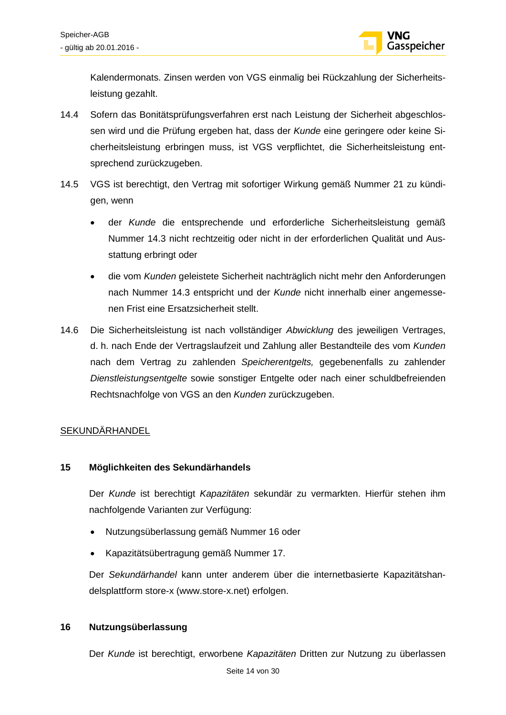

Kalendermonats. Zinsen werden von VGS einmalig bei Rückzahlung der Sicherheitsleistung gezahlt.

- 14.4 Sofern das Bonitätsprüfungsverfahren erst nach Leistung der Sicherheit abgeschlossen wird und die Prüfung ergeben hat, dass der *Kunde* eine geringere oder keine Sicherheitsleistung erbringen muss, ist VGS verpflichtet, die Sicherheitsleistung entsprechend zurückzugeben.
- 14.5 VGS ist berechtigt, den Vertrag mit sofortiger Wirkung gemäß Nummer 21 zu kündigen, wenn
	- der *Kunde* die entsprechende und erforderliche Sicherheitsleistung gemäß Nummer 14.3 nicht rechtzeitig oder nicht in der erforderlichen Qualität und Ausstattung erbringt oder
	- die vom *Kunden* geleistete Sicherheit nachträglich nicht mehr den Anforderungen nach Nummer 14.3 entspricht und der *Kunde* nicht innerhalb einer angemessenen Frist eine Ersatzsicherheit stellt.
- 14.6 Die Sicherheitsleistung ist nach vollständiger *Abwicklung* des jeweiligen Vertrages, d. h. nach Ende der Vertragslaufzeit und Zahlung aller Bestandteile des vom *Kunden* nach dem Vertrag zu zahlenden *Speicherentgelts,* gegebenenfalls zu zahlender *Dienstleistungsentgelte* sowie sonstiger Entgelte oder nach einer schuldbefreienden Rechtsnachfolge von VGS an den *Kunden* zurückzugeben.

### **SEKUNDÄRHANDEL**

### **15 Möglichkeiten des Sekundärhandels**

Der *Kunde* ist berechtigt *Kapazitäten* sekundär zu vermarkten. Hierfür stehen ihm nachfolgende Varianten zur Verfügung:

- Nutzungsüberlassung gemäß Nummer 16 oder
- Kapazitätsübertragung gemäß Nummer 17.

Der *Sekundärhandel* kann unter anderem über die internetbasierte Kapazitätshandelsplattform store-x (www.store-x.net) erfolgen.

### **16 Nutzungsüberlassung**

Der *Kunde* ist berechtigt, erworbene *Kapazitäten* Dritten zur Nutzung zu überlassen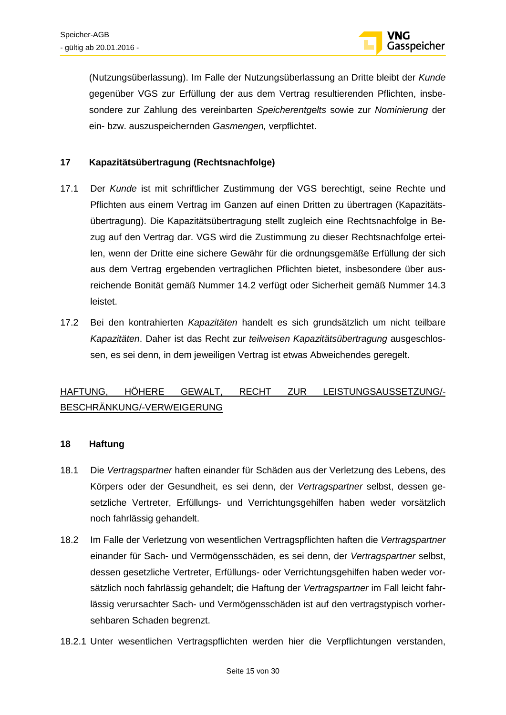

(Nutzungsüberlassung). Im Falle der Nutzungsüberlassung an Dritte bleibt der *Kunde* gegenüber VGS zur Erfüllung der aus dem Vertrag resultierenden Pflichten, insbesondere zur Zahlung des vereinbarten *Speicherentgelts* sowie zur *Nominierung* der ein- bzw. auszuspeichernden *Gasmengen,* verpflichtet.

### **17 Kapazitätsübertragung (Rechtsnachfolge)**

- 17.1 Der *Kunde* ist mit schriftlicher Zustimmung der VGS berechtigt, seine Rechte und Pflichten aus einem Vertrag im Ganzen auf einen Dritten zu übertragen (Kapazitätsübertragung). Die Kapazitätsübertragung stellt zugleich eine Rechtsnachfolge in Bezug auf den Vertrag dar. VGS wird die Zustimmung zu dieser Rechtsnachfolge erteilen, wenn der Dritte eine sichere Gewähr für die ordnungsgemäße Erfüllung der sich aus dem Vertrag ergebenden vertraglichen Pflichten bietet, insbesondere über ausreichende Bonität gemäß Nummer 14.2 verfügt oder Sicherheit gemäß Nummer 14.3 leistet.
- 17.2 Bei den kontrahierten *Kapazitäten* handelt es sich grundsätzlich um nicht teilbare *Kapazitäten*. Daher ist das Recht zur *teilweisen Kapazitätsübertragung* ausgeschlossen, es sei denn, in dem jeweiligen Vertrag ist etwas Abweichendes geregelt.

### HAFTUNG, HÖHERE GEWALT, RECHT ZUR LEISTUNGSAUSSETZUNG/- BESCHRÄNKUNG/-VERWEIGERUNG

### **18 Haftung**

- 18.1 Die *Vertragspartner* haften einander für Schäden aus der Verletzung des Lebens, des Körpers oder der Gesundheit, es sei denn, der *Vertragspartner* selbst, dessen gesetzliche Vertreter, Erfüllungs- und Verrichtungsgehilfen haben weder vorsätzlich noch fahrlässig gehandelt.
- 18.2 Im Falle der Verletzung von wesentlichen Vertragspflichten haften die *Vertragspartner* einander für Sach- und Vermögensschäden, es sei denn, der *Vertragspartner* selbst, dessen gesetzliche Vertreter, Erfüllungs- oder Verrichtungsgehilfen haben weder vorsätzlich noch fahrlässig gehandelt; die Haftung der *Vertragspartner* im Fall leicht fahrlässig verursachter Sach- und Vermögensschäden ist auf den vertragstypisch vorhersehbaren Schaden begrenzt.
- 18.2.1 Unter wesentlichen Vertragspflichten werden hier die Verpflichtungen verstanden,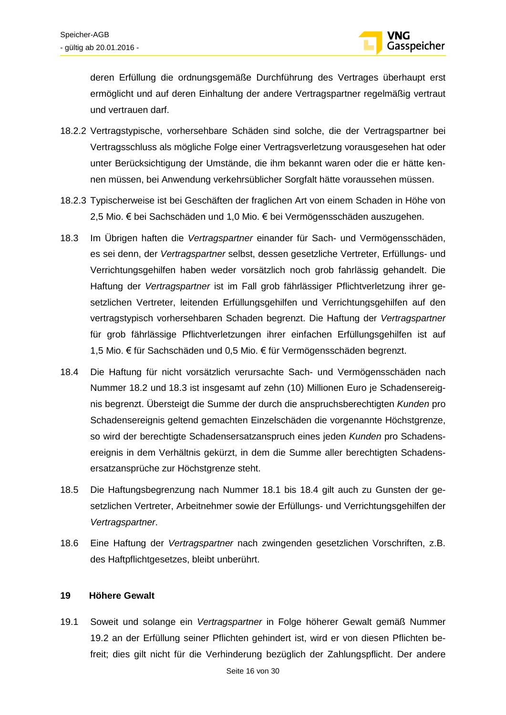

deren Erfüllung die ordnungsgemäße Durchführung des Vertrages überhaupt erst ermöglicht und auf deren Einhaltung der andere Vertragspartner regelmäßig vertraut und vertrauen darf.

- 18.2.2 Vertragstypische, vorhersehbare Schäden sind solche, die der Vertragspartner bei Vertragsschluss als mögliche Folge einer Vertragsverletzung vorausgesehen hat oder unter Berücksichtigung der Umstände, die ihm bekannt waren oder die er hätte kennen müssen, bei Anwendung verkehrsüblicher Sorgfalt hätte voraussehen müssen.
- 18.2.3 Typischerweise ist bei Geschäften der fraglichen Art von einem Schaden in Höhe von 2,5 Mio. € bei Sachschäden und 1,0 Mio. € bei Vermögensschäden auszugehen.
- 18.3 Im Übrigen haften die *Vertragspartner* einander für Sach- und Vermögensschäden, es sei denn, der *Vertragspartner* selbst, dessen gesetzliche Vertreter, Erfüllungs- und Verrichtungsgehilfen haben weder vorsätzlich noch grob fahrlässig gehandelt. Die Haftung der *Vertragspartner* ist im Fall grob fährlässiger Pflichtverletzung ihrer gesetzlichen Vertreter, leitenden Erfüllungsgehilfen und Verrichtungsgehilfen auf den vertragstypisch vorhersehbaren Schaden begrenzt. Die Haftung der *Vertragspartner* für grob fährlässige Pflichtverletzungen ihrer einfachen Erfüllungsgehilfen ist auf 1,5 Mio. € für Sachschäden und 0,5 Mio. € für Vermögensschäden begrenzt.
- 18.4 Die Haftung für nicht vorsätzlich verursachte Sach- und Vermögensschäden nach Nummer 18.2 und 18.3 ist insgesamt auf zehn (10) Millionen Euro je Schadensereignis begrenzt. Übersteigt die Summe der durch die anspruchsberechtigten *Kunden* pro Schadensereignis geltend gemachten Einzelschäden die vorgenannte Höchstgrenze, so wird der berechtigte Schadensersatzanspruch eines jeden *Kunden* pro Schadensereignis in dem Verhältnis gekürzt, in dem die Summe aller berechtigten Schadensersatzansprüche zur Höchstgrenze steht.
- 18.5 Die Haftungsbegrenzung nach Nummer 18.1 bis 18.4 gilt auch zu Gunsten der gesetzlichen Vertreter, Arbeitnehmer sowie der Erfüllungs- und Verrichtungsgehilfen der *Vertragspartner*.
- 18.6 Eine Haftung der *Vertragspartner* nach zwingenden gesetzlichen Vorschriften, z.B. des Haftpflichtgesetzes, bleibt unberührt.

### **19 Höhere Gewalt**

19.1 Soweit und solange ein *Vertragspartner* in Folge höherer Gewalt gemäß Nummer 19.2 an der Erfüllung seiner Pflichten gehindert ist, wird er von diesen Pflichten befreit; dies gilt nicht für die Verhinderung bezüglich der Zahlungspflicht. Der andere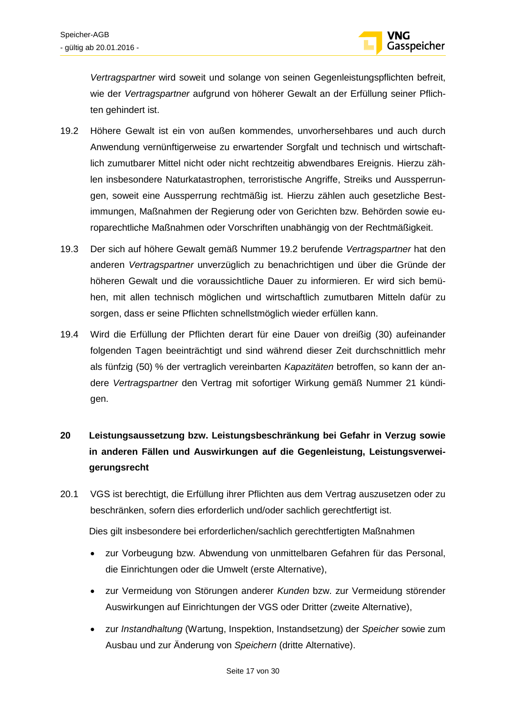

*Vertragspartner* wird soweit und solange von seinen Gegenleistungspflichten befreit, wie der *Vertragspartner* aufgrund von höherer Gewalt an der Erfüllung seiner Pflichten gehindert ist.

- 19.2 Höhere Gewalt ist ein von außen kommendes, unvorhersehbares und auch durch Anwendung vernünftigerweise zu erwartender Sorgfalt und technisch und wirtschaftlich zumutbarer Mittel nicht oder nicht rechtzeitig abwendbares Ereignis. Hierzu zählen insbesondere Naturkatastrophen, terroristische Angriffe, Streiks und Aussperrungen, soweit eine Aussperrung rechtmäßig ist. Hierzu zählen auch gesetzliche Bestimmungen, Maßnahmen der Regierung oder von Gerichten bzw. Behörden sowie europarechtliche Maßnahmen oder Vorschriften unabhängig von der Rechtmäßigkeit.
- 19.3 Der sich auf höhere Gewalt gemäß Nummer 19.2 berufende *Vertragspartner* hat den anderen *Vertragspartner* unverzüglich zu benachrichtigen und über die Gründe der höheren Gewalt und die voraussichtliche Dauer zu informieren. Er wird sich bemühen, mit allen technisch möglichen und wirtschaftlich zumutbaren Mitteln dafür zu sorgen, dass er seine Pflichten schnellstmöglich wieder erfüllen kann.
- 19.4 Wird die Erfüllung der Pflichten derart für eine Dauer von dreißig (30) aufeinander folgenden Tagen beeinträchtigt und sind während dieser Zeit durchschnittlich mehr als fünfzig (50) % der vertraglich vereinbarten *Kapazitäten* betroffen, so kann der andere *Vertragspartner* den Vertrag mit sofortiger Wirkung gemäß Nummer 21 kündigen.
- **20 Leistungsaussetzung bzw. Leistungsbeschränkung bei Gefahr in Verzug sowie in anderen Fällen und Auswirkungen auf die Gegenleistung, Leistungsverweigerungsrecht**
- 20.1 VGS ist berechtigt, die Erfüllung ihrer Pflichten aus dem Vertrag auszusetzen oder zu beschränken, sofern dies erforderlich und/oder sachlich gerechtfertigt ist.

Dies gilt insbesondere bei erforderlichen/sachlich gerechtfertigten Maßnahmen

- zur Vorbeugung bzw. Abwendung von unmittelbaren Gefahren für das Personal, die Einrichtungen oder die Umwelt (erste Alternative),
- zur Vermeidung von Störungen anderer *Kunden* bzw. zur Vermeidung störender Auswirkungen auf Einrichtungen der VGS oder Dritter (zweite Alternative),
- zur *Instandhaltung* (Wartung, Inspektion, Instandsetzung) der *Speicher* sowie zum Ausbau und zur Änderung von *Speichern* (dritte Alternative).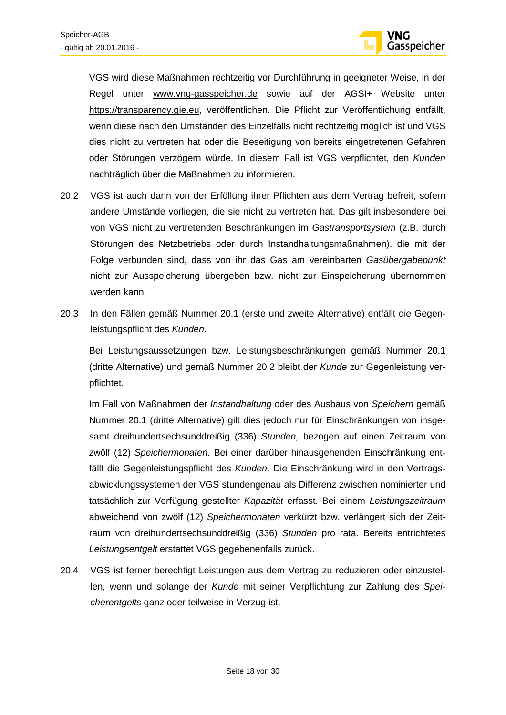

VGS wird diese Maßnahmen rechtzeitig vor Durchführung in geeigneter Weise, in der Regel unter www.vng-gasspeicher.de sowie auf der AGSI+ Website unter https://transparency.gie.eu, veröffentlichen. Die Pflicht zur Veröffentlichung entfällt, wenn diese nach den Umständen des Einzelfalls nicht rechtzeitig möglich ist und VGS dies nicht zu vertreten hat oder die Beseitigung von bereits eingetretenen Gefahren oder Störungen verzögern würde. In diesem Fall ist VGS verpflichtet, den *Kunden* nachträglich über die Maßnahmen zu informieren.

- 20.2 VGS ist auch dann von der Erfüllung ihrer Pflichten aus dem Vertrag befreit, sofern andere Umstände vorliegen, die sie nicht zu vertreten hat. Das gilt insbesondere bei von VGS nicht zu vertretenden Beschränkungen im *Gastransportsystem* (z.B. durch Störungen des Netzbetriebs oder durch Instandhaltungsmaßnahmen), die mit der Folge verbunden sind, dass von ihr das Gas am vereinbarten *Gasübergabepunkt* nicht zur Ausspeicherung übergeben bzw. nicht zur Einspeicherung übernommen werden kann.
- 20.3 In den Fällen gemäß Nummer 20.1 (erste und zweite Alternative) entfällt die Gegenleistungspflicht des *Kunden*.

Bei Leistungsaussetzungen bzw. Leistungsbeschränkungen gemäß Nummer 20.1 (dritte Alternative) und gemäß Nummer 20.2 bleibt der *Kunde* zur Gegenleistung verpflichtet.

Im Fall von Maßnahmen der *Instandhaltung* oder des Ausbaus von *Speichern* gemäß Nummer 20.1 (dritte Alternative) gilt dies jedoch nur für Einschränkungen von insgesamt dreihundertsechsunddreißig (336) *Stunden,* bezogen auf einen Zeitraum von zwölf (12) *Speichermonaten*. Bei einer darüber hinausgehenden Einschränkung entfällt die Gegenleistungspflicht des *Kunden*. Die Einschränkung wird in den Vertragsabwicklungssystemen der VGS stundengenau als Differenz zwischen nominierter und tatsächlich zur Verfügung gestellter *Kapazität* erfasst. Bei einem *Leistungszeitraum* abweichend von zwölf (12) *Speichermonaten* verkürzt bzw. verlängert sich der Zeitraum von dreihundertsechsunddreißig (336) *Stunden* pro rata. Bereits entrichtetes *Leistungsentgelt* erstattet VGS gegebenenfalls zurück.

20.4 VGS ist ferner berechtigt Leistungen aus dem Vertrag zu reduzieren oder einzustellen, wenn und solange der *Kunde* mit seiner Verpflichtung zur Zahlung des *Speicherentgelts* ganz oder teilweise in Verzug ist.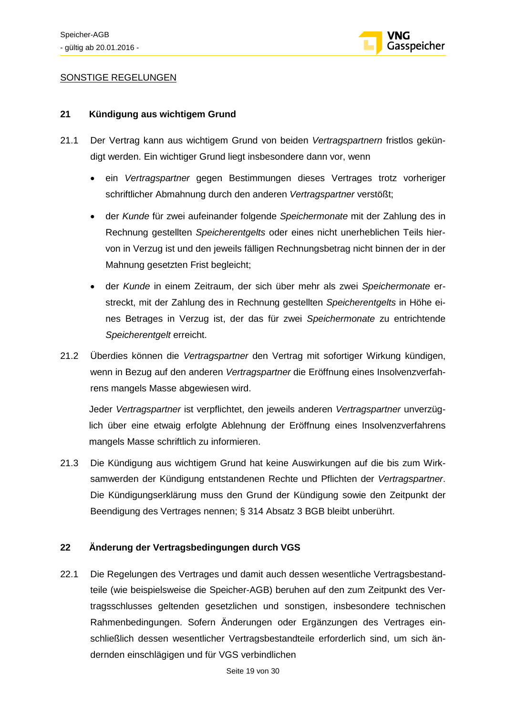

### SONSTIGE REGELUNGEN

### **21 Kündigung aus wichtigem Grund**

- 21.1 Der Vertrag kann aus wichtigem Grund von beiden *Vertragspartnern* fristlos gekündigt werden. Ein wichtiger Grund liegt insbesondere dann vor, wenn
	- ein *Vertragspartner* gegen Bestimmungen dieses Vertrages trotz vorheriger schriftlicher Abmahnung durch den anderen *Vertragspartner* verstößt;
	- der *Kunde* für zwei aufeinander folgende *Speichermonate* mit der Zahlung des in Rechnung gestellten *Speicherentgelts* oder eines nicht unerheblichen Teils hiervon in Verzug ist und den jeweils fälligen Rechnungsbetrag nicht binnen der in der Mahnung gesetzten Frist begleicht;
	- der *Kunde* in einem Zeitraum, der sich über mehr als zwei *Speichermonate* erstreckt, mit der Zahlung des in Rechnung gestellten *Speicherentgelts* in Höhe eines Betrages in Verzug ist, der das für zwei *Speichermonate* zu entrichtende *Speicherentgelt* erreicht.
- 21.2 Überdies können die *Vertragspartner* den Vertrag mit sofortiger Wirkung kündigen, wenn in Bezug auf den anderen *Vertragspartner* die Eröffnung eines Insolvenzverfahrens mangels Masse abgewiesen wird.

Jeder *Vertragspartner* ist verpflichtet, den jeweils anderen *Vertragspartner* unverzüglich über eine etwaig erfolgte Ablehnung der Eröffnung eines Insolvenzverfahrens mangels Masse schriftlich zu informieren.

21.3 Die Kündigung aus wichtigem Grund hat keine Auswirkungen auf die bis zum Wirksamwerden der Kündigung entstandenen Rechte und Pflichten der *Vertragspartner*. Die Kündigungserklärung muss den Grund der Kündigung sowie den Zeitpunkt der Beendigung des Vertrages nennen; § 314 Absatz 3 BGB bleibt unberührt.

### **22 Änderung der Vertragsbedingungen durch VGS**

22.1 Die Regelungen des Vertrages und damit auch dessen wesentliche Vertragsbestandteile (wie beispielsweise die Speicher-AGB) beruhen auf den zum Zeitpunkt des Vertragsschlusses geltenden gesetzlichen und sonstigen, insbesondere technischen Rahmenbedingungen. Sofern Änderungen oder Ergänzungen des Vertrages einschließlich dessen wesentlicher Vertragsbestandteile erforderlich sind, um sich ändernden einschlägigen und für VGS verbindlichen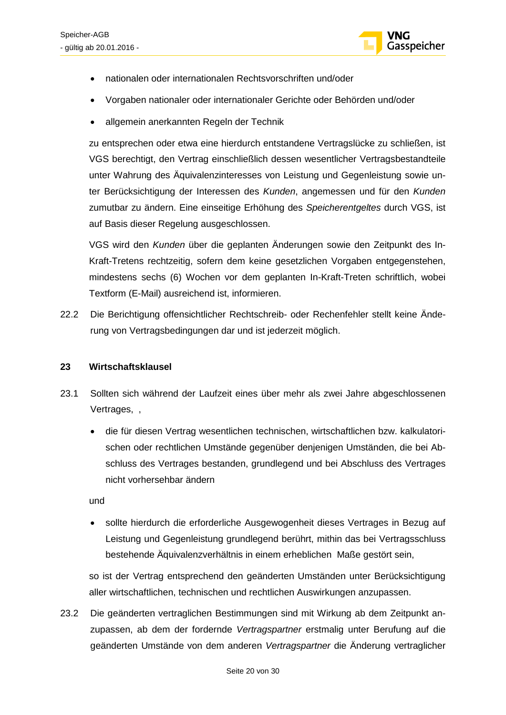

- nationalen oder internationalen Rechtsvorschriften und/oder
- Vorgaben nationaler oder internationaler Gerichte oder Behörden und/oder
- allgemein anerkannten Regeln der Technik

zu entsprechen oder etwa eine hierdurch entstandene Vertragslücke zu schließen, ist VGS berechtigt, den Vertrag einschließlich dessen wesentlicher Vertragsbestandteile unter Wahrung des Äquivalenzinteresses von Leistung und Gegenleistung sowie unter Berücksichtigung der Interessen des *Kunden*, angemessen und für den *Kunden* zumutbar zu ändern. Eine einseitige Erhöhung des *Speicherentgeltes* durch VGS, ist auf Basis dieser Regelung ausgeschlossen.

VGS wird den *Kunden* über die geplanten Änderungen sowie den Zeitpunkt des In-Kraft-Tretens rechtzeitig, sofern dem keine gesetzlichen Vorgaben entgegenstehen, mindestens sechs (6) Wochen vor dem geplanten In-Kraft-Treten schriftlich, wobei Textform (E-Mail) ausreichend ist, informieren.

22.2 Die Berichtigung offensichtlicher Rechtschreib- oder Rechenfehler stellt keine Änderung von Vertragsbedingungen dar und ist jederzeit möglich.

### **23 Wirtschaftsklausel**

- 23.1 Sollten sich während der Laufzeit eines über mehr als zwei Jahre abgeschlossenen Vertrages, ,
	- die für diesen Vertrag wesentlichen technischen, wirtschaftlichen bzw. kalkulatorischen oder rechtlichen Umstände gegenüber denjenigen Umständen, die bei Abschluss des Vertrages bestanden, grundlegend und bei Abschluss des Vertrages nicht vorhersehbar ändern

und

• sollte hierdurch die erforderliche Ausgewogenheit dieses Vertrages in Bezug auf Leistung und Gegenleistung grundlegend berührt, mithin das bei Vertragsschluss bestehende Äquivalenzverhältnis in einem erheblichen Maße gestört sein,

so ist der Vertrag entsprechend den geänderten Umständen unter Berücksichtigung aller wirtschaftlichen, technischen und rechtlichen Auswirkungen anzupassen.

23.2 Die geänderten vertraglichen Bestimmungen sind mit Wirkung ab dem Zeitpunkt anzupassen, ab dem der fordernde *Vertragspartner* erstmalig unter Berufung auf die geänderten Umstände von dem anderen *Vertragspartner* die Änderung vertraglicher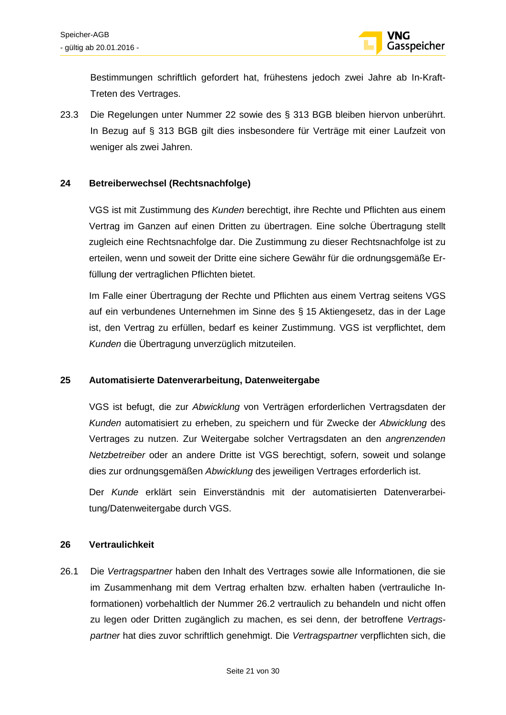

Bestimmungen schriftlich gefordert hat, frühestens jedoch zwei Jahre ab In-Kraft-Treten des Vertrages.

23.3 Die Regelungen unter Nummer 22 sowie des § 313 BGB bleiben hiervon unberührt. In Bezug auf § 313 BGB gilt dies insbesondere für Verträge mit einer Laufzeit von weniger als zwei Jahren.

### **24 Betreiberwechsel (Rechtsnachfolge)**

VGS ist mit Zustimmung des *Kunden* berechtigt, ihre Rechte und Pflichten aus einem Vertrag im Ganzen auf einen Dritten zu übertragen. Eine solche Übertragung stellt zugleich eine Rechtsnachfolge dar. Die Zustimmung zu dieser Rechtsnachfolge ist zu erteilen, wenn und soweit der Dritte eine sichere Gewähr für die ordnungsgemäße Erfüllung der vertraglichen Pflichten bietet.

Im Falle einer Übertragung der Rechte und Pflichten aus einem Vertrag seitens VGS auf ein verbundenes Unternehmen im Sinne des § 15 Aktiengesetz, das in der Lage ist, den Vertrag zu erfüllen, bedarf es keiner Zustimmung. VGS ist verpflichtet, dem *Kunden* die Übertragung unverzüglich mitzuteilen.

#### **25 Automatisierte Datenverarbeitung, Datenweitergabe**

VGS ist befugt, die zur *Abwicklung* von Verträgen erforderlichen Vertragsdaten der *Kunden* automatisiert zu erheben, zu speichern und für Zwecke der *Abwicklung* des Vertrages zu nutzen. Zur Weitergabe solcher Vertragsdaten an den *angrenzenden Netzbetreiber* oder an andere Dritte ist VGS berechtigt, sofern, soweit und solange dies zur ordnungsgemäßen *Abwicklung* des jeweiligen Vertrages erforderlich ist.

Der *Kunde* erklärt sein Einverständnis mit der automatisierten Datenverarbeitung/Datenweitergabe durch VGS.

#### **26 Vertraulichkeit**

26.1 Die *Vertragspartner* haben den Inhalt des Vertrages sowie alle Informationen, die sie im Zusammenhang mit dem Vertrag erhalten bzw. erhalten haben (vertrauliche Informationen) vorbehaltlich der Nummer 26.2 vertraulich zu behandeln und nicht offen zu legen oder Dritten zugänglich zu machen, es sei denn, der betroffene *Vertragspartner* hat dies zuvor schriftlich genehmigt. Die *Vertragspartner* verpflichten sich, die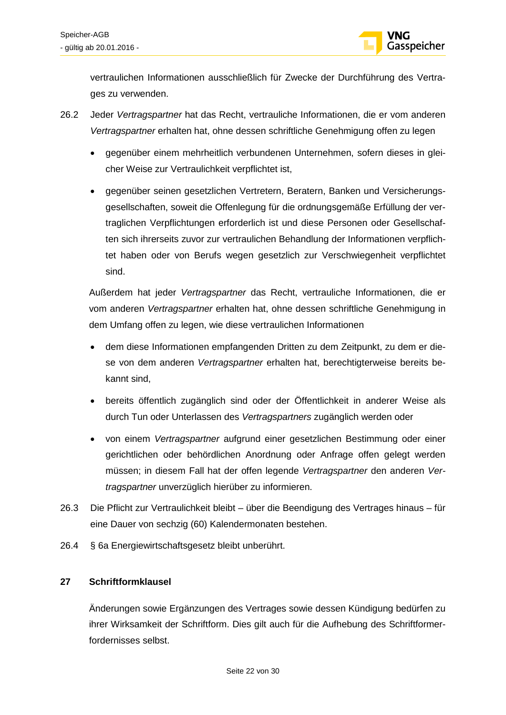

vertraulichen Informationen ausschließlich für Zwecke der Durchführung des Vertrages zu verwenden.

- 26.2 Jeder *Vertragspartner* hat das Recht, vertrauliche Informationen, die er vom anderen *Vertragspartner* erhalten hat, ohne dessen schriftliche Genehmigung offen zu legen
	- gegenüber einem mehrheitlich verbundenen Unternehmen, sofern dieses in gleicher Weise zur Vertraulichkeit verpflichtet ist,
	- gegenüber seinen gesetzlichen Vertretern, Beratern, Banken und Versicherungsgesellschaften, soweit die Offenlegung für die ordnungsgemäße Erfüllung der vertraglichen Verpflichtungen erforderlich ist und diese Personen oder Gesellschaften sich ihrerseits zuvor zur vertraulichen Behandlung der Informationen verpflichtet haben oder von Berufs wegen gesetzlich zur Verschwiegenheit verpflichtet sind.

Außerdem hat jeder *Vertragspartner* das Recht, vertrauliche Informationen, die er vom anderen *Vertragspartner* erhalten hat, ohne dessen schriftliche Genehmigung in dem Umfang offen zu legen, wie diese vertraulichen Informationen

- dem diese Informationen empfangenden Dritten zu dem Zeitpunkt, zu dem er diese von dem anderen *Vertragspartner* erhalten hat, berechtigterweise bereits bekannt sind,
- bereits öffentlich zugänglich sind oder der Öffentlichkeit in anderer Weise als durch Tun oder Unterlassen des *Vertragspartners* zugänglich werden oder
- von einem *Vertragspartner* aufgrund einer gesetzlichen Bestimmung oder einer gerichtlichen oder behördlichen Anordnung oder Anfrage offen gelegt werden müssen; in diesem Fall hat der offen legende *Vertragspartner* den anderen *Vertragspartner* unverzüglich hierüber zu informieren.
- 26.3 Die Pflicht zur Vertraulichkeit bleibt über die Beendigung des Vertrages hinaus für eine Dauer von sechzig (60) Kalendermonaten bestehen.
- 26.4 § 6a Energiewirtschaftsgesetz bleibt unberührt.

### **27 Schriftformklausel**

Änderungen sowie Ergänzungen des Vertrages sowie dessen Kündigung bedürfen zu ihrer Wirksamkeit der Schriftform. Dies gilt auch für die Aufhebung des Schriftformerfordernisses selbst.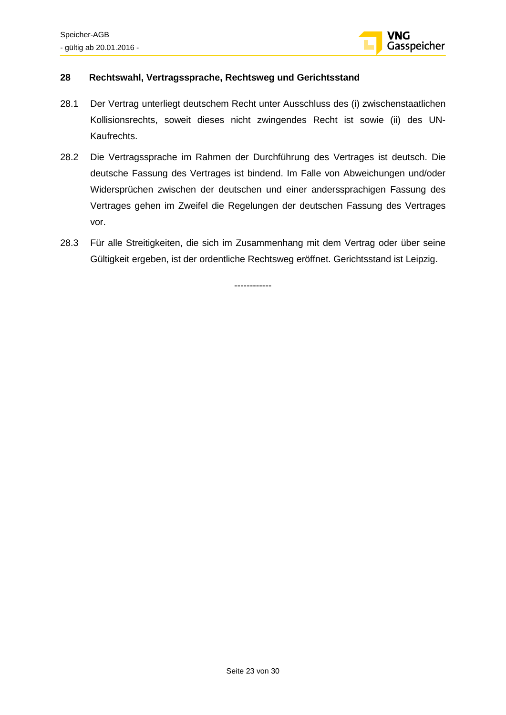

### **28 Rechtswahl, Vertragssprache, Rechtsweg und Gerichtsstand**

- 28.1 Der Vertrag unterliegt deutschem Recht unter Ausschluss des (i) zwischenstaatlichen Kollisionsrechts, soweit dieses nicht zwingendes Recht ist sowie (ii) des UN-Kaufrechts.
- 28.2 Die Vertragssprache im Rahmen der Durchführung des Vertrages ist deutsch. Die deutsche Fassung des Vertrages ist bindend. Im Falle von Abweichungen und/oder Widersprüchen zwischen der deutschen und einer anderssprachigen Fassung des Vertrages gehen im Zweifel die Regelungen der deutschen Fassung des Vertrages vor.
- 28.3 Für alle Streitigkeiten, die sich im Zusammenhang mit dem Vertrag oder über seine Gültigkeit ergeben, ist der ordentliche Rechtsweg eröffnet. Gerichtsstand ist Leipzig.

------------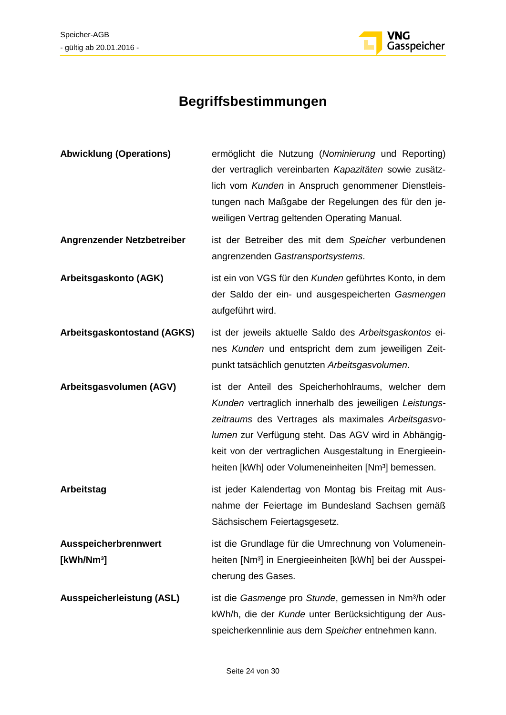

## **Begriffsbestimmungen**

| <b>Abwicklung (Operations)</b>                 | ermöglicht die Nutzung (Nominierung und Reporting)<br>der vertraglich vereinbarten Kapazitäten sowie zusätz-<br>lich vom Kunden in Anspruch genommener Dienstleis-<br>tungen nach Maßgabe der Regelungen des für den je-<br>weiligen Vertrag geltenden Operating Manual.                                                                                 |
|------------------------------------------------|----------------------------------------------------------------------------------------------------------------------------------------------------------------------------------------------------------------------------------------------------------------------------------------------------------------------------------------------------------|
| Angrenzender Netzbetreiber                     | ist der Betreiber des mit dem Speicher verbundenen<br>angrenzenden Gastransportsystems.                                                                                                                                                                                                                                                                  |
| Arbeitsgaskonto (AGK)                          | ist ein von VGS für den Kunden geführtes Konto, in dem<br>der Saldo der ein- und ausgespeicherten Gasmengen<br>aufgeführt wird.                                                                                                                                                                                                                          |
| Arbeitsgaskontostand (AGKS)                    | ist der jeweils aktuelle Saldo des Arbeitsgaskontos ei-<br>nes Kunden und entspricht dem zum jeweiligen Zeit-<br>punkt tatsächlich genutzten Arbeitsgasvolumen.                                                                                                                                                                                          |
| Arbeitsgasvolumen (AGV)                        | ist der Anteil des Speicherhohlraums, welcher dem<br>Kunden vertraglich innerhalb des jeweiligen Leistungs-<br>zeitraums des Vertrages als maximales Arbeitsgasvo-<br>lumen zur Verfügung steht. Das AGV wird in Abhängig-<br>keit von der vertraglichen Ausgestaltung in Energieein-<br>heiten [kWh] oder Volumeneinheiten [Nm <sup>3</sup> ] bemessen. |
| <b>Arbeitstag</b>                              | ist jeder Kalendertag von Montag bis Freitag mit Aus-<br>nahme der Feiertage im Bundesland Sachsen gemäß<br>Sächsischem Feiertagsgesetz.                                                                                                                                                                                                                 |
| Ausspeicherbrennwert<br>[kWh/Nm <sup>3</sup> ] | ist die Grundlage für die Umrechnung von Volumenein-<br>heiten [Nm <sup>3</sup> ] in Energieeinheiten [kWh] bei der Ausspei-<br>cherung des Gases.                                                                                                                                                                                                       |
| <b>Ausspeicherleistung (ASL)</b>               | ist die Gasmenge pro Stunde, gemessen in Nm <sup>3</sup> /h oder<br>kWh/h, die der Kunde unter Berücksichtigung der Aus-<br>speicherkennlinie aus dem Speicher entnehmen kann.                                                                                                                                                                           |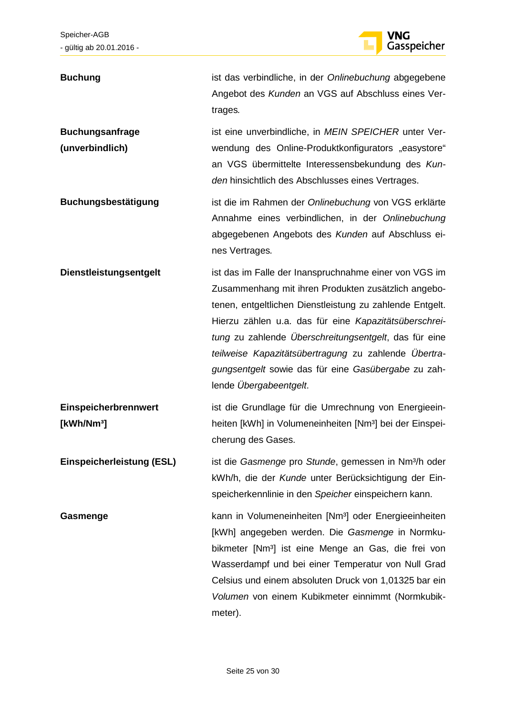

| <b>Buchung</b>                                 | ist das verbindliche, in der Onlinebuchung abgegebene<br>Angebot des Kunden an VGS auf Abschluss eines Ver-<br>trages.                                                                                                                                                                                                                                                                                                              |
|------------------------------------------------|-------------------------------------------------------------------------------------------------------------------------------------------------------------------------------------------------------------------------------------------------------------------------------------------------------------------------------------------------------------------------------------------------------------------------------------|
| <b>Buchungsanfrage</b><br>(unverbindlich)      | ist eine unverbindliche, in MEIN SPEICHER unter Ver-<br>wendung des Online-Produktkonfigurators "easystore"<br>an VGS übermittelte Interessensbekundung des Kun-<br>den hinsichtlich des Abschlusses eines Vertrages.                                                                                                                                                                                                               |
| Buchungsbestätigung                            | ist die im Rahmen der Onlinebuchung von VGS erklärte<br>Annahme eines verbindlichen, in der Onlinebuchung<br>abgegebenen Angebots des Kunden auf Abschluss ei-<br>nes Vertrages.                                                                                                                                                                                                                                                    |
| Dienstleistungsentgelt                         | ist das im Falle der Inanspruchnahme einer von VGS im<br>Zusammenhang mit ihren Produkten zusätzlich angebo-<br>tenen, entgeltlichen Dienstleistung zu zahlende Entgelt.<br>Hierzu zählen u.a. das für eine Kapazitätsüberschrei-<br>tung zu zahlende Überschreitungsentgelt, das für eine<br>teilweise Kapazitätsübertragung zu zahlende Übertra-<br>gungsentgelt sowie das für eine Gasübergabe zu zah-<br>lende Übergabeentgelt. |
| Einspeicherbrennwert<br>[kWh/Nm <sup>3</sup> ] | ist die Grundlage für die Umrechnung von Energieein-<br>heiten [kWh] in Volumeneinheiten [Nm <sup>3</sup> ] bei der Einspei-<br>cherung des Gases.                                                                                                                                                                                                                                                                                  |
| <b>Einspeicherleistung (ESL)</b>               | ist die Gasmenge pro Stunde, gemessen in Nm <sup>3</sup> /h oder<br>kWh/h, die der Kunde unter Berücksichtigung der Ein-<br>speicherkennlinie in den Speicher einspeichern kann.                                                                                                                                                                                                                                                    |
| Gasmenge                                       | kann in Volumeneinheiten [Nm <sup>3</sup> ] oder Energieeinheiten<br>[kWh] angegeben werden. Die Gasmenge in Normku-<br>bikmeter [Nm <sup>3</sup> ] ist eine Menge an Gas, die frei von<br>Wasserdampf und bei einer Temperatur von Null Grad<br>Celsius und einem absoluten Druck von 1,01325 bar ein<br>Volumen von einem Kubikmeter einnimmt (Normkubik-<br>meter).                                                              |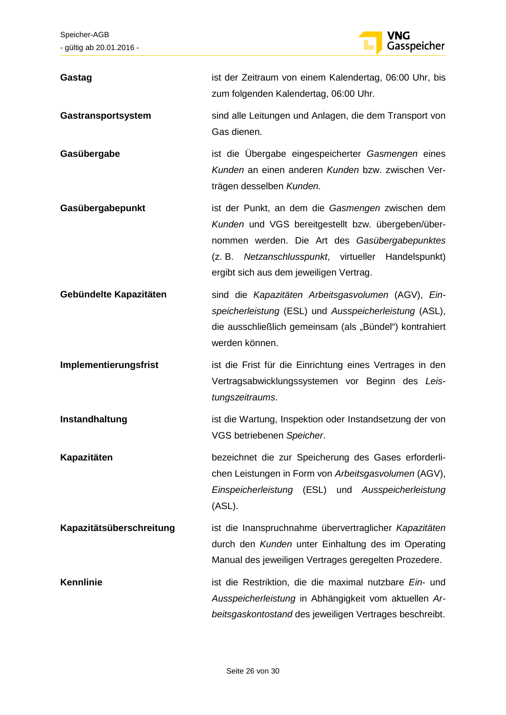

| Gastag                   | ist der Zeitraum von einem Kalendertag, 06:00 Uhr, bis<br>zum folgenden Kalendertag, 06:00 Uhr.                                                                                                                                                           |
|--------------------------|-----------------------------------------------------------------------------------------------------------------------------------------------------------------------------------------------------------------------------------------------------------|
| Gastransportsystem       | sind alle Leitungen und Anlagen, die dem Transport von<br>Gas dienen.                                                                                                                                                                                     |
| Gasübergabe              | ist die Übergabe eingespeicherter Gasmengen eines<br>Kunden an einen anderen Kunden bzw. zwischen Ver-<br>trägen desselben Kunden.                                                                                                                        |
| Gasübergabepunkt         | ist der Punkt, an dem die Gasmengen zwischen dem<br>Kunden und VGS bereitgestellt bzw. übergeben/über-<br>nommen werden. Die Art des Gasübergabepunktes<br>(z. B. Netzanschlusspunkt, virtueller Handelspunkt)<br>ergibt sich aus dem jeweiligen Vertrag. |
| Gebündelte Kapazitäten   | sind die Kapazitäten Arbeitsgasvolumen (AGV), Ein-<br>speicherleistung (ESL) und Ausspeicherleistung (ASL),<br>die ausschließlich gemeinsam (als "Bündel") kontrahiert<br>werden können.                                                                  |
| Implementierungsfrist    | ist die Frist für die Einrichtung eines Vertrages in den<br>Vertragsabwicklungssystemen vor Beginn des Leis-<br>tungszeitraums.                                                                                                                           |
| Instandhaltung           | ist die Wartung, Inspektion oder Instandsetzung der von<br>VGS betriebenen Speicher.                                                                                                                                                                      |
| Kapazitäten              | bezeichnet die zur Speicherung des Gases erforderli-<br>chen Leistungen in Form von Arbeitsgasvolumen (AGV),<br>Einspeicherleistung (ESL) und Ausspeicherleistung<br>(ASL).                                                                               |
| Kapazitätsüberschreitung | ist die Inanspruchnahme übervertraglicher Kapazitäten<br>durch den Kunden unter Einhaltung des im Operating<br>Manual des jeweiligen Vertrages geregelten Prozedere.                                                                                      |
| <b>Kennlinie</b>         | ist die Restriktion, die die maximal nutzbare Ein- und<br>Ausspeicherleistung in Abhängigkeit vom aktuellen Ar-<br>beitsgaskontostand des jeweiligen Vertrages beschreibt.                                                                                |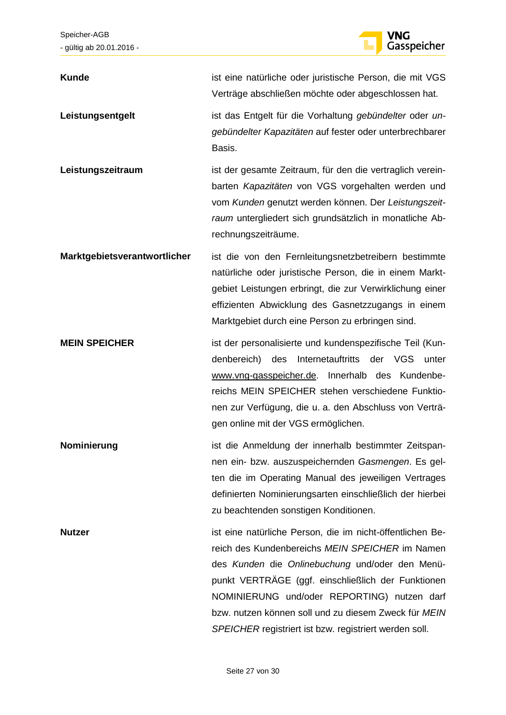

**Kunde** ist eine natürliche oder juristische Person, die mit VGS Verträge abschließen möchte oder abgeschlossen hat. Leistungsentgelt ist das Entgelt für die Vorhaltung *gebündelter* oder un*gebündelter Kapazitäten* auf fester oder unterbrechbarer Basis. **Leistungszeitraum** ist der gesamte Zeitraum, für den die vertraglich vereinbarten *Kapazitäten* von VGS vorgehalten werden und vom *Kunden* genutzt werden können. Der *Leistungszeitraum* untergliedert sich grundsätzlich in monatliche Abrechnungszeiträume. **Marktgebietsverantwortlicher** ist die von den Fernleitungsnetzbetreibern bestimmte natürliche oder juristische Person, die in einem Marktgebiet Leistungen erbringt, die zur Verwirklichung einer effizienten Abwicklung des Gasnetzzugangs in einem Marktgebiet durch eine Person zu erbringen sind. **MEIN SPEICHER** ist der personalisierte und kundenspezifische Teil (Kundenbereich) des Internetauftritts der VGS unter www.vng-gasspeicher.de. Innerhalb des Kundenbereichs MEIN SPEICHER stehen verschiedene Funktionen zur Verfügung, die u. a. den Abschluss von Verträgen online mit der VGS ermöglichen. **Nominierung ist die Anmeldung der innerhalb bestimmter Zeitspan**nen ein- bzw. auszuspeichernden *Gasmengen*. Es gelten die im Operating Manual des jeweiligen Vertrages definierten Nominierungsarten einschließlich der hierbei zu beachtenden sonstigen Konditionen. **Nutzer ist eine natürliche Person, die im nicht-öffentlichen Be**reich des Kundenbereichs *MEIN SPEICHER* im Namen des *Kunden* die *Onlinebuchung* und/oder den Menüpunkt VERTRÄGE (ggf. einschließlich der Funktionen NOMINIERUNG und/oder REPORTING) nutzen darf bzw. nutzen können soll und zu diesem Zweck für *MEIN SPEICHER* registriert ist bzw. registriert werden soll.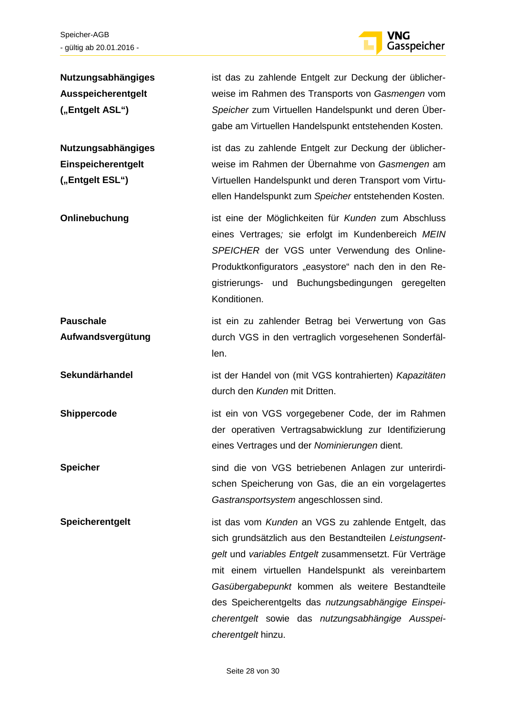

| Nutzungsabhängiges<br>Ausspeicherentgelt<br>("Entgelt ASL")        | ist das zu zahlende Entgelt zur Deckung der üblicher-<br>weise im Rahmen des Transports von Gasmengen vom<br>Speicher zum Virtuellen Handelspunkt und deren Über-<br>gabe am Virtuellen Handelspunkt entstehenden Kosten.                                                                                                                                                                                         |
|--------------------------------------------------------------------|-------------------------------------------------------------------------------------------------------------------------------------------------------------------------------------------------------------------------------------------------------------------------------------------------------------------------------------------------------------------------------------------------------------------|
| <b>Nutzungsabhängiges</b><br>Einspeicherentgelt<br>("Entgelt ESL") | ist das zu zahlende Entgelt zur Deckung der üblicher-<br>weise im Rahmen der Übernahme von Gasmengen am<br>Virtuellen Handelspunkt und deren Transport vom Virtu-<br>ellen Handelspunkt zum Speicher entstehenden Kosten.                                                                                                                                                                                         |
| Onlinebuchung                                                      | ist eine der Möglichkeiten für Kunden zum Abschluss<br>eines Vertrages; sie erfolgt im Kundenbereich MEIN<br>SPEICHER der VGS unter Verwendung des Online-<br>Produktkonfigurators "easystore" nach den in den Re-<br>gistrierungs- und Buchungsbedingungen geregelten<br>Konditionen.                                                                                                                            |
| <b>Pauschale</b><br>Aufwandsvergütung                              | ist ein zu zahlender Betrag bei Verwertung von Gas<br>durch VGS in den vertraglich vorgesehenen Sonderfäl-<br>len.                                                                                                                                                                                                                                                                                                |
| Sekundärhandel                                                     | ist der Handel von (mit VGS kontrahierten) Kapazitäten<br>durch den Kunden mit Dritten.                                                                                                                                                                                                                                                                                                                           |
| Shippercode                                                        | ist ein von VGS vorgegebener Code, der im Rahmen<br>der operativen Vertragsabwicklung zur Identifizierung<br>eines Vertrages und der Nominierungen dient.                                                                                                                                                                                                                                                         |
| <b>Speicher</b>                                                    | sind die von VGS betriebenen Anlagen zur unterirdi-<br>schen Speicherung von Gas, die an ein vorgelagertes<br>Gastransportsystem angeschlossen sind.                                                                                                                                                                                                                                                              |
| Speicherentgelt                                                    | ist das vom Kunden an VGS zu zahlende Entgelt, das<br>sich grundsätzlich aus den Bestandteilen Leistungsent-<br>gelt und variables Entgelt zusammensetzt. Für Verträge<br>mit einem virtuellen Handelspunkt als vereinbartem<br>Gasübergabepunkt kommen als weitere Bestandteile<br>des Speicherentgelts das nutzungsabhängige Einspei-<br>cherentgelt sowie das nutzungsabhängige Ausspei-<br>cherentgelt hinzu. |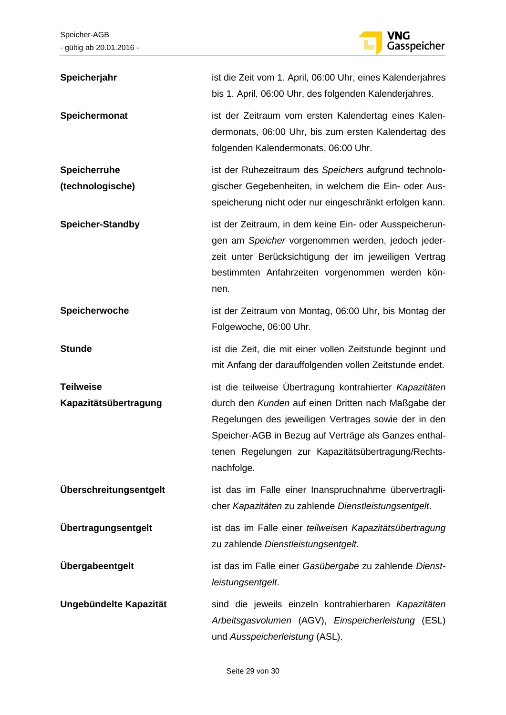

| Speicherjahr                              | ist die Zeit vom 1. April, 06:00 Uhr, eines Kalenderjahres<br>bis 1. April, 06:00 Uhr, des folgenden Kalenderjahres.                                                                                                                                                                                |
|-------------------------------------------|-----------------------------------------------------------------------------------------------------------------------------------------------------------------------------------------------------------------------------------------------------------------------------------------------------|
| Speichermonat                             | ist der Zeitraum vom ersten Kalendertag eines Kalen-<br>dermonats, 06:00 Uhr, bis zum ersten Kalendertag des<br>folgenden Kalendermonats, 06:00 Uhr.                                                                                                                                                |
| Speicherruhe<br>(technologische)          | ist der Ruhezeitraum des Speichers aufgrund technolo-<br>gischer Gegebenheiten, in welchem die Ein- oder Aus-<br>speicherung nicht oder nur eingeschränkt erfolgen kann.                                                                                                                            |
| <b>Speicher-Standby</b>                   | ist der Zeitraum, in dem keine Ein- oder Ausspeicherun-<br>gen am Speicher vorgenommen werden, jedoch jeder-<br>zeit unter Berücksichtigung der im jeweiligen Vertrag<br>bestimmten Anfahrzeiten vorgenommen werden kön-<br>nen.                                                                    |
| Speicherwoche                             | ist der Zeitraum von Montag, 06:00 Uhr, bis Montag der<br>Folgewoche, 06:00 Uhr.                                                                                                                                                                                                                    |
| <b>Stunde</b>                             | ist die Zeit, die mit einer vollen Zeitstunde beginnt und<br>mit Anfang der darauffolgenden vollen Zeitstunde endet.                                                                                                                                                                                |
| <b>Teilweise</b><br>Kapazitätsübertragung | ist die teilweise Übertragung kontrahierter Kapazitäten<br>durch den Kunden auf einen Dritten nach Maßgabe der<br>Regelungen des jeweiligen Vertrages sowie der in den<br>Speicher-AGB in Bezug auf Verträge als Ganzes enthal-<br>tenen Regelungen zur Kapazitätsübertragung/Rechts-<br>nachfolge. |
| Überschreitungsentgelt                    | ist das im Falle einer Inanspruchnahme übervertragli-<br>cher Kapazitäten zu zahlende Dienstleistungsentgelt.                                                                                                                                                                                       |
| Übertragungsentgelt                       | ist das im Falle einer teilweisen Kapazitätsübertragung<br>zu zahlende Dienstleistungsentgelt.                                                                                                                                                                                                      |
| Übergabeentgelt                           | ist das im Falle einer Gasübergabe zu zahlende Dienst-<br>leistungsentgelt.                                                                                                                                                                                                                         |
| Ungebündelte Kapazität                    | sind die jeweils einzeln kontrahierbaren Kapazitäten<br>Arbeitsgasvolumen (AGV), Einspeicherleistung (ESL)<br>und Ausspeicherleistung (ASL).                                                                                                                                                        |